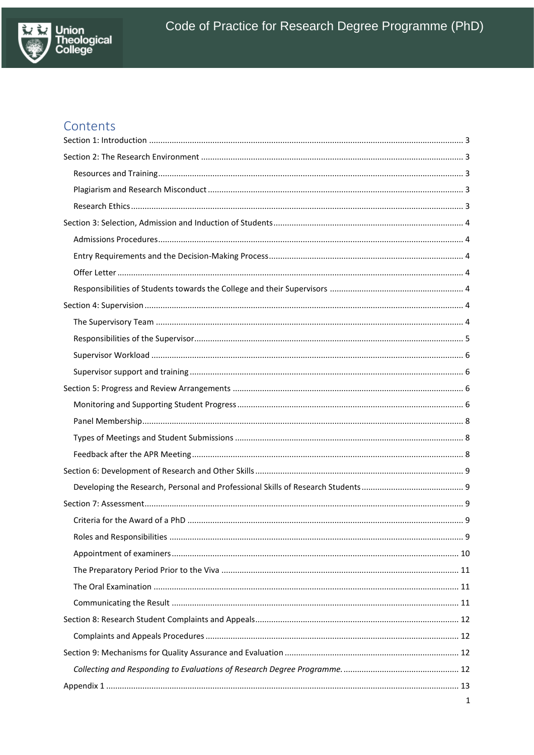

# Contents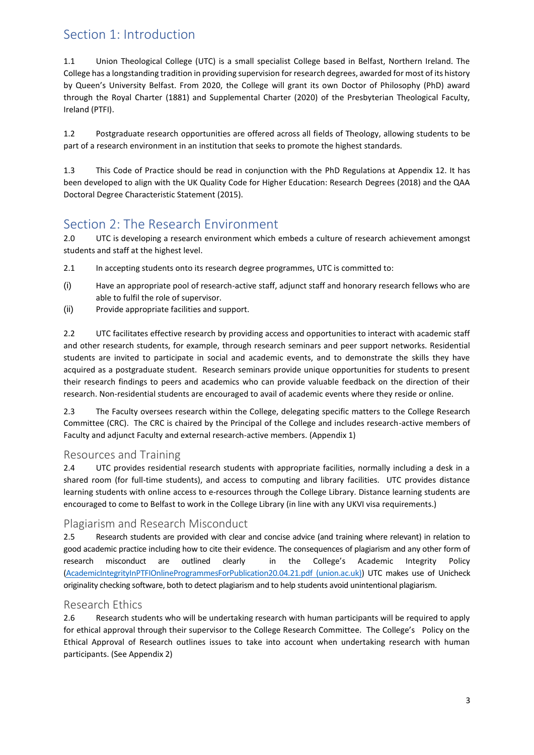## <span id="page-2-0"></span>Section 1: Introduction

1.1 Union Theological College (UTC) is a small specialist College based in Belfast, Northern Ireland. The College has a longstanding tradition in providing supervision for research degrees, awarded for most of its history by Queen's University Belfast. From 2020, the College will grant its own Doctor of Philosophy (PhD) award through the Royal Charter (1881) and Supplemental Charter (2020) of the Presbyterian Theological Faculty, Ireland (PTFI).

1.2 Postgraduate research opportunities are offered across all fields of Theology, allowing students to be part of a research environment in an institution that seeks to promote the highest standards.

1.3 This Code of Practice should be read in conjunction with the PhD Regulations at Appendix 12. It has been developed to align with the UK Quality Code for Higher Education: Research Degrees (2018) and the QAA Doctoral Degree Characteristic Statement (2015).

## <span id="page-2-1"></span>Section 2: The Research Environment

2.0 UTC is developing a research environment which embeds a culture of research achievement amongst students and staff at the highest level.

- 2.1 In accepting students onto its research degree programmes, UTC is committed to:
- (i) Have an appropriate pool of research-active staff, adjunct staff and honorary research fellows who are able to fulfil the role of supervisor.
- (ii) Provide appropriate facilities and support.

2.2 UTC facilitates effective research by providing access and opportunities to interact with academic staff and other research students, for example, through research seminars and peer support networks. Residential students are invited to participate in social and academic events, and to demonstrate the skills they have acquired as a postgraduate student. Research seminars provide unique opportunities for students to present their research findings to peers and academics who can provide valuable feedback on the direction of their research. Non-residential students are encouraged to avail of academic events where they reside or online.

2.3 The Faculty oversees research within the College, delegating specific matters to the College Research Committee (CRC). The CRC is chaired by the Principal of the College and includes research-active members of Faculty and adjunct Faculty and external research-active members. (Appendix 1)

## <span id="page-2-2"></span>Resources and Training

2.4 UTC provides residential research students with appropriate facilities, normally including a desk in a shared room (for full-time students), and access to computing and library facilities. UTC provides distance learning students with online access to e-resources through the College Library. Distance learning students are encouraged to come to Belfast to work in the College Library (in line with any UKVI visa requirements.)

## <span id="page-2-3"></span>Plagiarism and Research Misconduct

2.5 Research students are provided with clear and concise advice (and training where relevant) in relation to good academic practice including how to cite their evidence. The consequences of plagiarism and any other form of research misconduct are outlined clearly in the College's Academic Integrity Policy [\(AcademicIntegrityInPTFIOnlineProgrammesForPublication20.04.21.pdf \(union.ac.uk\)\)](https://www.union.ac.uk/cmsfiles/Support/AcademicIntegrityInPTFIOnlineProgrammesForPublication20.04.21.pdf) UTC makes use of Unicheck originality checking software, both to detect plagiarism and to help students avoid unintentional plagiarism.

## <span id="page-2-4"></span>Research Ethics

2.6 Research students who will be undertaking research with human participants will be required to apply for ethical approval through their supervisor to the College Research Committee. The College's Policy on the Ethical Approval of Research outlines issues to take into account when undertaking research with human participants. (See Appendix 2)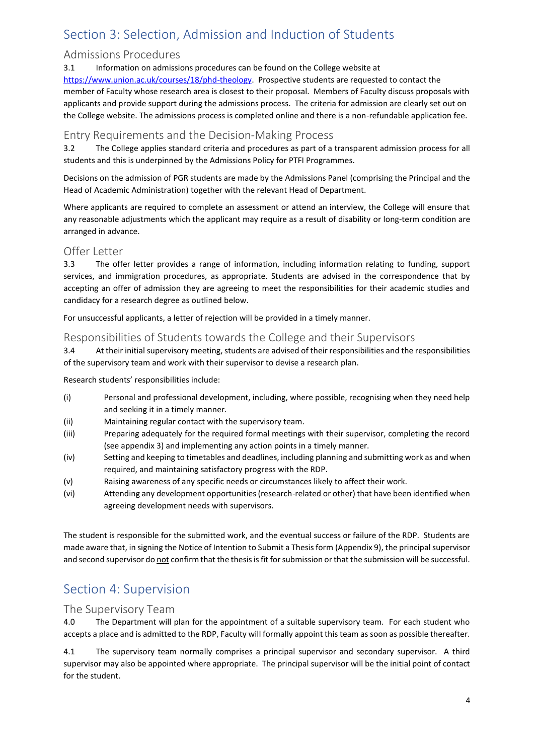# <span id="page-3-0"></span>Section 3: Selection, Admission and Induction of Students

## <span id="page-3-1"></span>Admissions Procedures

3.1 Information on admissions procedures can be found on the College website at [https://www.union.ac.uk/courses/18/phd-theology.](https://www.union.ac.uk/courses/18/phd-theology) Prospective students are requested to contact the member of Faculty whose research area is closest to their proposal. Members of Faculty discuss proposals with applicants and provide support during the admissions process. The criteria for admission are clearly set out on the College website. The admissions process is completed online and there is a non-refundable application fee.

## <span id="page-3-2"></span>Entry Requirements and the Decision-Making Process

3.2 The College applies standard criteria and procedures as part of a transparent admission process for all students and this is underpinned by the Admissions Policy for PTFI Programmes.

Decisions on the admission of PGR students are made by the Admissions Panel (comprising the Principal and the Head of Academic Administration) together with the relevant Head of Department.

Where applicants are required to complete an assessment or attend an interview, the College will ensure that any reasonable adjustments which the applicant may require as a result of disability or long-term condition are arranged in advance.

## <span id="page-3-3"></span>Offer Letter

3.3 The offer letter provides a range of information, including information relating to funding, support services, and immigration procedures, as appropriate. Students are advised in the correspondence that by accepting an offer of admission they are agreeing to meet the responsibilities for their academic studies and candidacy for a research degree as outlined below.

For unsuccessful applicants, a letter of rejection will be provided in a timely manner.

## <span id="page-3-4"></span>Responsibilities of Students towards the College and their Supervisors

3.4 At their initial supervisory meeting, students are advised of their responsibilities and the responsibilities of the supervisory team and work with their supervisor to devise a research plan.

Research students' responsibilities include:

- (i) Personal and professional development, including, where possible, recognising when they need help and seeking it in a timely manner.
- (ii) Maintaining regular contact with the supervisory team.
- (iii) Preparing adequately for the required formal meetings with their supervisor, completing the record (see appendix 3) and implementing any action points in a timely manner.
- (iv) Setting and keeping to timetables and deadlines, including planning and submitting work as and when required, and maintaining satisfactory progress with the RDP.
- (v) Raising awareness of any specific needs or circumstances likely to affect their work.
- (vi) Attending any development opportunities (research-related or other) that have been identified when agreeing development needs with supervisors.

The student is responsible for the submitted work, and the eventual success or failure of the RDP. Students are made aware that, in signing the Notice of Intention to Submit a Thesis form (Appendix 9), the principal supervisor and second supervisor do not confirm that the thesis is fit for submission or that the submission will be successful.

## <span id="page-3-5"></span>Section 4: Supervision

### <span id="page-3-6"></span>The Supervisory Team

4.0 The Department will plan for the appointment of a suitable supervisory team. For each student who accepts a place and is admitted to the RDP, Faculty will formally appoint this team as soon as possible thereafter.

4.1 The supervisory team normally comprises a principal supervisor and secondary supervisor. A third supervisor may also be appointed where appropriate. The principal supervisor will be the initial point of contact for the student.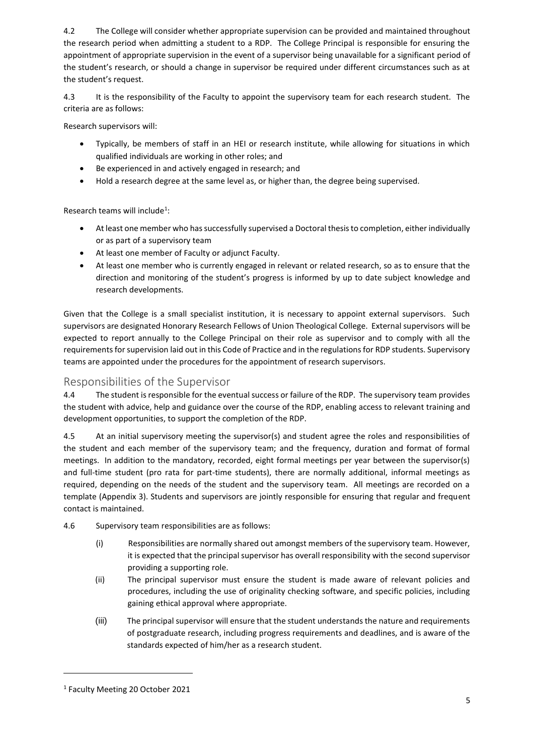4.2 The College will consider whether appropriate supervision can be provided and maintained throughout the research period when admitting a student to a RDP. The College Principal is responsible for ensuring the appointment of appropriate supervision in the event of a supervisor being unavailable for a significant period of the student's research, or should a change in supervisor be required under different circumstances such as at the student's request.

4.3 It is the responsibility of the Faculty to appoint the supervisory team for each research student. The criteria are as follows:

Research supervisors will:

- Typically, be members of staff in an HEI or research institute, while allowing for situations in which qualified individuals are working in other roles; and
- Be experienced in and actively engaged in research; and
- Hold a research degree at the same level as, or higher than, the degree being supervised.

Research teams will include<sup>1</sup>:

- At least one member who has successfully supervised a Doctoral thesis to completion, either individually or as part of a supervisory team
- At least one member of Faculty or adjunct Faculty.
- At least one member who is currently engaged in relevant or related research, so as to ensure that the direction and monitoring of the student's progress is informed by up to date subject knowledge and research developments.

Given that the College is a small specialist institution, it is necessary to appoint external supervisors. Such supervisors are designated Honorary Research Fellows of Union Theological College. External supervisors will be expected to report annually to the College Principal on their role as supervisor and to comply with all the requirements for supervision laid out in this Code of Practice and in the regulations for RDP students. Supervisory teams are appointed under the procedures for the appointment of research supervisors.

## <span id="page-4-0"></span>Responsibilities of the Supervisor

4.4 The student is responsible for the eventual success or failure of the RDP. The supervisory team provides the student with advice, help and guidance over the course of the RDP, enabling access to relevant training and development opportunities, to support the completion of the RDP.

4.5 At an initial supervisory meeting the supervisor(s) and student agree the roles and responsibilities of the student and each member of the supervisory team; and the frequency, duration and format of formal meetings. In addition to the mandatory, recorded, eight formal meetings per year between the supervisor(s) and full-time student (pro rata for part-time students), there are normally additional, informal meetings as required, depending on the needs of the student and the supervisory team. All meetings are recorded on a template (Appendix 3). Students and supervisors are jointly responsible for ensuring that regular and frequent contact is maintained.

- 4.6 Supervisory team responsibilities are as follows:
	- (i) Responsibilities are normally shared out amongst members of the supervisory team. However, it is expected that the principal supervisor has overall responsibility with the second supervisor providing a supporting role.
	- (ii) The principal supervisor must ensure the student is made aware of relevant policies and procedures, including the use of originality checking software, and specific policies, including gaining ethical approval where appropriate.
	- (iii) The principal supervisor will ensure that the student understands the nature and requirements of postgraduate research, including progress requirements and deadlines, and is aware of the standards expected of him/her as a research student.

 $\overline{a}$ 

<sup>1</sup> Faculty Meeting 20 October 2021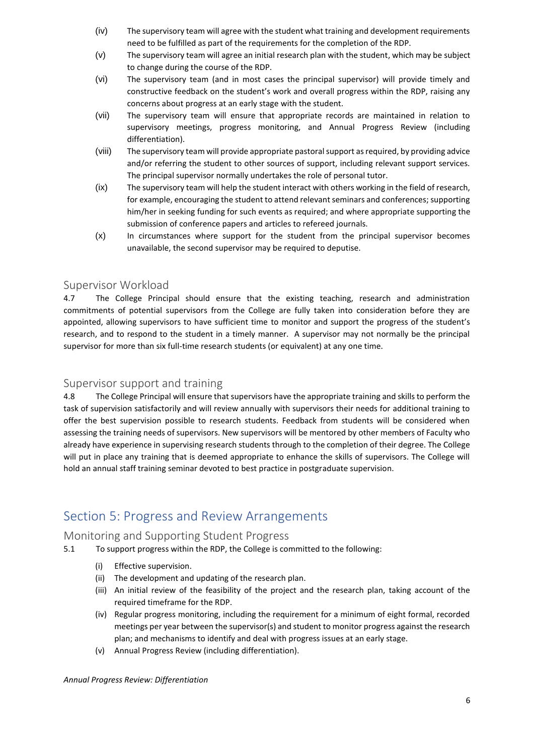- (iv) The supervisory team will agree with the student what training and development requirements need to be fulfilled as part of the requirements for the completion of the RDP.
- (v) The supervisory team will agree an initial research plan with the student, which may be subject to change during the course of the RDP.
- (vi) The supervisory team (and in most cases the principal supervisor) will provide timely and constructive feedback on the student's work and overall progress within the RDP, raising any concerns about progress at an early stage with the student.
- (vii) The supervisory team will ensure that appropriate records are maintained in relation to supervisory meetings, progress monitoring, and Annual Progress Review (including differentiation).
- (viii) The supervisory team will provide appropriate pastoral support as required, by providing advice and/or referring the student to other sources of support, including relevant support services. The principal supervisor normally undertakes the role of personal tutor.
- (ix) The supervisory team will help the student interact with others working in the field of research, for example, encouraging the student to attend relevant seminars and conferences; supporting him/her in seeking funding for such events as required; and where appropriate supporting the submission of conference papers and articles to refereed journals.
- (x) In circumstances where support for the student from the principal supervisor becomes unavailable, the second supervisor may be required to deputise.

### <span id="page-5-0"></span>Supervisor Workload

4.7 The College Principal should ensure that the existing teaching, research and administration commitments of potential supervisors from the College are fully taken into consideration before they are appointed, allowing supervisors to have sufficient time to monitor and support the progress of the student's research, and to respond to the student in a timely manner. A supervisor may not normally be the principal supervisor for more than six full-time research students (or equivalent) at any one time.

### <span id="page-5-1"></span>Supervisor support and training

4.8 The College Principal will ensure that supervisors have the appropriate training and skills to perform the task of supervision satisfactorily and will review annually with supervisors their needs for additional training to offer the best supervision possible to research students. Feedback from students will be considered when assessing the training needs of supervisors. New supervisors will be mentored by other members of Faculty who already have experience in supervising research students through to the completion of their degree. The College will put in place any training that is deemed appropriate to enhance the skills of supervisors. The College will hold an annual staff training seminar devoted to best practice in postgraduate supervision.

## <span id="page-5-2"></span>Section 5: Progress and Review Arrangements

### <span id="page-5-3"></span>Monitoring and Supporting Student Progress

- 5.1 To support progress within the RDP, the College is committed to the following:
	- (i) Effective supervision.
	- (ii) The development and updating of the research plan.
	- (iii) An initial review of the feasibility of the project and the research plan, taking account of the required timeframe for the RDP.
	- (iv) Regular progress monitoring, including the requirement for a minimum of eight formal, recorded meetings per year between the supervisor(s) and student to monitor progress against the research plan; and mechanisms to identify and deal with progress issues at an early stage.
	- (v) Annual Progress Review (including differentiation).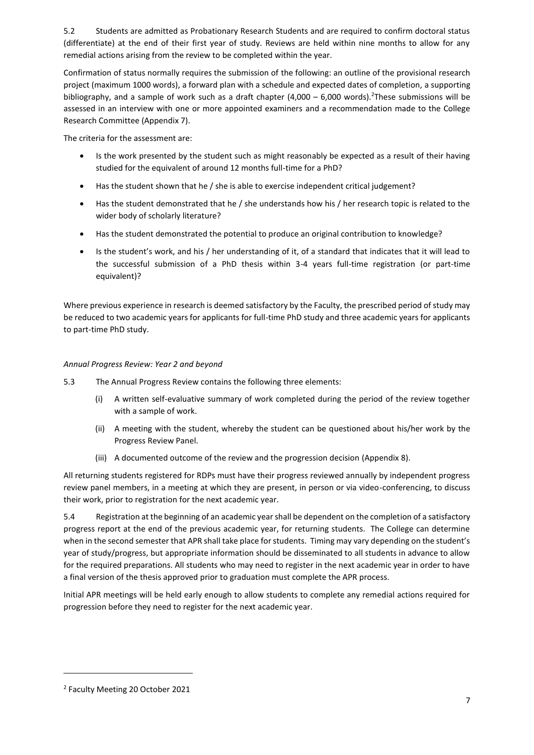5.2 Students are admitted as Probationary Research Students and are required to confirm doctoral status (differentiate) at the end of their first year of study. Reviews are held within nine months to allow for any remedial actions arising from the review to be completed within the year.

Confirmation of status normally requires the submission of the following: an outline of the provisional research project (maximum 1000 words), a forward plan with a schedule and expected dates of completion, a supporting bibliography, and a sample of work such as a draft chapter  $(4,000 - 6,000 \text{ words})$ .<sup>2</sup>These submissions will be assessed in an interview with one or more appointed examiners and a recommendation made to the College Research Committee (Appendix 7).

The criteria for the assessment are:

- Is the work presented by the student such as might reasonably be expected as a result of their having studied for the equivalent of around 12 months full-time for a PhD?
- Has the student shown that he / she is able to exercise independent critical judgement?
- Has the student demonstrated that he / she understands how his / her research topic is related to the wider body of scholarly literature?
- Has the student demonstrated the potential to produce an original contribution to knowledge?
- Is the student's work, and his / her understanding of it, of a standard that indicates that it will lead to the successful submission of a PhD thesis within 3-4 years full-time registration (or part-time equivalent)?

Where previous experience in research is deemed satisfactory by the Faculty, the prescribed period of study may be reduced to two academic years for applicants for full-time PhD study and three academic years for applicants to part-time PhD study.

### *Annual Progress Review: Year 2 and beyond*

- 5.3 The Annual Progress Review contains the following three elements:
	- (i) A written self-evaluative summary of work completed during the period of the review together with a sample of work.
	- (ii) A meeting with the student, whereby the student can be questioned about his/her work by the Progress Review Panel.
	- (iii) A documented outcome of the review and the progression decision (Appendix 8).

All returning students registered for RDPs must have their progress reviewed annually by independent progress review panel members, in a meeting at which they are present, in person or via video-conferencing, to discuss their work, prior to registration for the next academic year.

5.4 Registration at the beginning of an academic year shall be dependent on the completion of a satisfactory progress report at the end of the previous academic year, for returning students. The College can determine when in the second semester that APR shall take place for students. Timing may vary depending on the student's year of study/progress, but appropriate information should be disseminated to all students in advance to allow for the required preparations. All students who may need to register in the next academic year in order to have a final version of the thesis approved prior to graduation must complete the APR process.

Initial APR meetings will be held early enough to allow students to complete any remedial actions required for progression before they need to register for the next academic year.

 $\overline{a}$ 

<sup>2</sup> Faculty Meeting 20 October 2021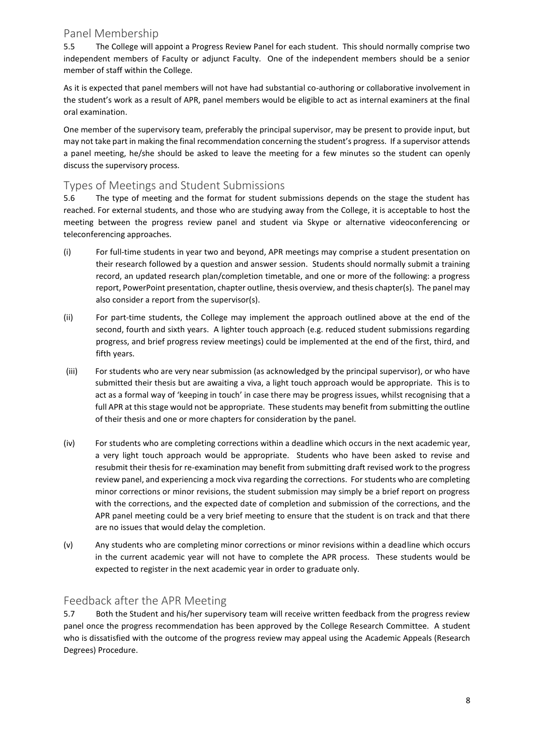### <span id="page-7-0"></span>Panel Membership

5.5 The College will appoint a Progress Review Panel for each student. This should normally comprise two independent members of Faculty or adjunct Faculty. One of the independent members should be a senior member of staff within the College.

As it is expected that panel members will not have had substantial co-authoring or collaborative involvement in the student's work as a result of APR, panel members would be eligible to act as internal examiners at the final oral examination.

One member of the supervisory team, preferably the principal supervisor, may be present to provide input, but may not take part in making the final recommendation concerning the student's progress. If a supervisor attends a panel meeting, he/she should be asked to leave the meeting for a few minutes so the student can openly discuss the supervisory process.

## <span id="page-7-1"></span>Types of Meetings and Student Submissions

5.6 The type of meeting and the format for student submissions depends on the stage the student has reached. For external students, and those who are studying away from the College, it is acceptable to host the meeting between the progress review panel and student via Skype or alternative videoconferencing or teleconferencing approaches.

- (i) For full-time students in year two and beyond, APR meetings may comprise a student presentation on their research followed by a question and answer session. Students should normally submit a training record, an updated research plan/completion timetable, and one or more of the following: a progress report, PowerPoint presentation, chapter outline, thesis overview, and thesis chapter(s). The panel may also consider a report from the supervisor(s).
- (ii) For part-time students, the College may implement the approach outlined above at the end of the second, fourth and sixth years. A lighter touch approach (e.g. reduced student submissions regarding progress, and brief progress review meetings) could be implemented at the end of the first, third, and fifth years.
- (iii) For students who are very near submission (as acknowledged by the principal supervisor), or who have submitted their thesis but are awaiting a viva, a light touch approach would be appropriate. This is to act as a formal way of 'keeping in touch' in case there may be progress issues, whilst recognising that a full APR at this stage would not be appropriate. These students may benefit from submitting the outline of their thesis and one or more chapters for consideration by the panel.
- (iv) For students who are completing corrections within a deadline which occurs in the next academic year, a very light touch approach would be appropriate. Students who have been asked to revise and resubmit their thesis for re-examination may benefit from submitting draft revised work to the progress review panel, and experiencing a mock viva regarding the corrections. For students who are completing minor corrections or minor revisions, the student submission may simply be a brief report on progress with the corrections, and the expected date of completion and submission of the corrections, and the APR panel meeting could be a very brief meeting to ensure that the student is on track and that there are no issues that would delay the completion.
- (v) Any students who are completing minor corrections or minor revisions within a deadline which occurs in the current academic year will not have to complete the APR process. These students would be expected to register in the next academic year in order to graduate only.

## <span id="page-7-2"></span>Feedback after the APR Meeting

5.7 Both the Student and his/her supervisory team will receive written feedback from the progress review panel once the progress recommendation has been approved by the College Research Committee. A student who is dissatisfied with the outcome of the progress review may appeal using the Academic Appeals (Research Degrees) Procedure.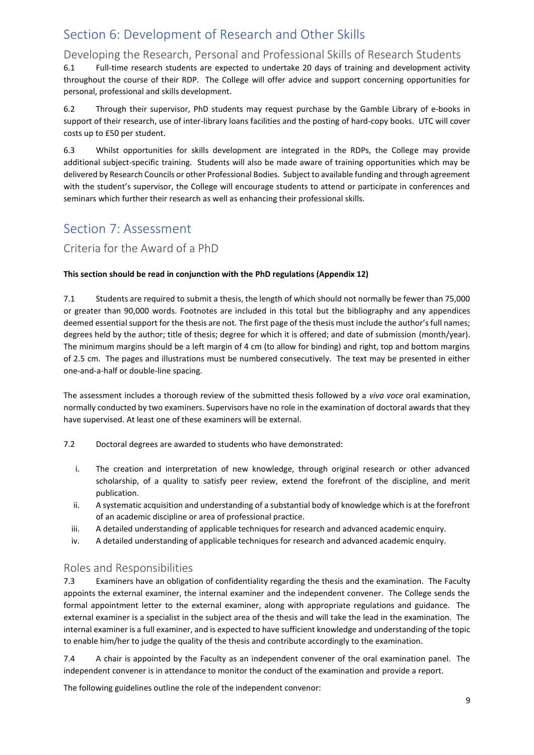## <span id="page-8-0"></span>Section 6: Development of Research and Other Skills

## <span id="page-8-1"></span>Developing the Research, Personal and Professional Skills of Research Students

6.1 Full-time research students are expected to undertake 20 days of training and development activity throughout the course of their RDP. The College will offer advice and support concerning opportunities for personal, professional and skills development.

6.2 Through their supervisor, PhD students may request purchase by the Gamble Library of e-books in support of their research, use of inter-library loans facilities and the posting of hard-copy books. UTC will cover costs up to £50 per student.

6.3 Whilst opportunities for skills development are integrated in the RDPs, the College may provide additional subject-specific training. Students will also be made aware of training opportunities which may be delivered by Research Councils or other Professional Bodies. Subject to available funding and through agreement with the student's supervisor, the College will encourage students to attend or participate in conferences and seminars which further their research as well as enhancing their professional skills.

## <span id="page-8-2"></span>Section 7: Assessment

## <span id="page-8-3"></span>Criteria for the Award of a PhD

### **This section should be read in conjunction with the PhD regulations (Appendix 12)**

7.1 Students are required to submit a thesis, the length of which should not normally be fewer than 75,000 or greater than 90,000 words. Footnotes are included in this total but the bibliography and any appendices deemed essential support for the thesis are not. The first page of the thesis must include the author's full names; degrees held by the author; title of thesis; degree for which it is offered; and date of submission (month/year). The minimum margins should be a left margin of 4 cm (to allow for binding) and right, top and bottom margins of 2.5 cm. The pages and illustrations must be numbered consecutively. The text may be presented in either one-and-a-half or double-line spacing.

The assessment includes a thorough review of the submitted thesis followed by a *viva voce* oral examination, normally conducted by two examiners. Supervisors have no role in the examination of doctoral awards that they have supervised. At least one of these examiners will be external.

- 7.2 Doctoral degrees are awarded to students who have demonstrated:
	- i. The creation and interpretation of new knowledge, through original research or other advanced scholarship, of a quality to satisfy peer review, extend the forefront of the discipline, and merit publication.
	- ii. A systematic acquisition and understanding of a substantial body of knowledge which is at the forefront of an academic discipline or area of professional practice.
	- iii. A detailed understanding of applicable techniques for research and advanced academic enquiry.
	- iv. A detailed understanding of applicable techniques for research and advanced academic enquiry.

### <span id="page-8-4"></span>Roles and Responsibilities

7.3 Examiners have an obligation of confidentiality regarding the thesis and the examination. The Faculty appoints the external examiner, the internal examiner and the independent convener. The College sends the formal appointment letter to the external examiner, along with appropriate regulations and guidance. The external examiner is a specialist in the subject area of the thesis and will take the lead in the examination. The internal examiner is a full examiner, and is expected to have sufficient knowledge and understanding of the topic to enable him/her to judge the quality of the thesis and contribute accordingly to the examination.

7.4 A chair is appointed by the Faculty as an independent convener of the oral examination panel. The independent convener is in attendance to monitor the conduct of the examination and provide a report.

The following guidelines outline the role of the independent convenor: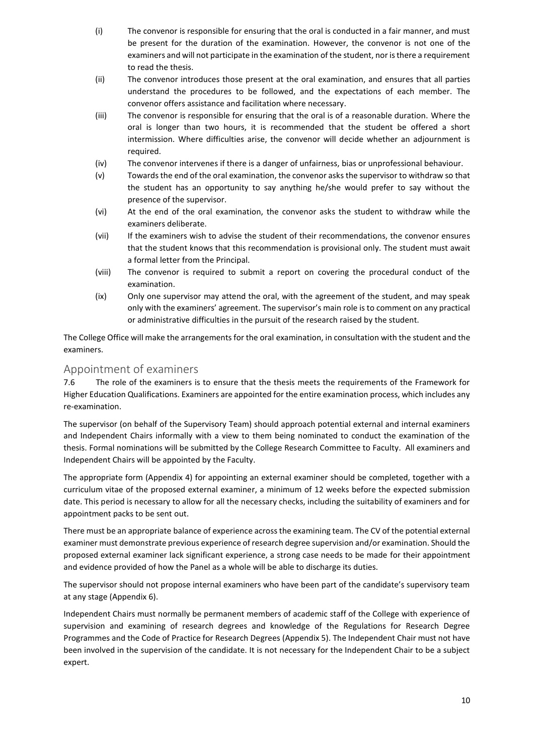- (i) The convenor is responsible for ensuring that the oral is conducted in a fair manner, and must be present for the duration of the examination. However, the convenor is not one of the examiners and will not participate in the examination of the student, nor is there a requirement to read the thesis.
- (ii) The convenor introduces those present at the oral examination, and ensures that all parties understand the procedures to be followed, and the expectations of each member. The convenor offers assistance and facilitation where necessary.
- (iii) The convenor is responsible for ensuring that the oral is of a reasonable duration. Where the oral is longer than two hours, it is recommended that the student be offered a short intermission. Where difficulties arise, the convenor will decide whether an adjournment is required.
- (iv) The convenor intervenes if there is a danger of unfairness, bias or unprofessional behaviour.
- (v) Towards the end of the oral examination, the convenor asks the supervisor to withdraw so that the student has an opportunity to say anything he/she would prefer to say without the presence of the supervisor.
- (vi) At the end of the oral examination, the convenor asks the student to withdraw while the examiners deliberate.
- (vii) If the examiners wish to advise the student of their recommendations, the convenor ensures that the student knows that this recommendation is provisional only. The student must await a formal letter from the Principal.
- (viii) The convenor is required to submit a report on covering the procedural conduct of the examination.
- (ix) Only one supervisor may attend the oral, with the agreement of the student, and may speak only with the examiners' agreement. The supervisor's main role is to comment on any practical or administrative difficulties in the pursuit of the research raised by the student.

The College Office will make the arrangements for the oral examination, in consultation with the student and the examiners.

## <span id="page-9-0"></span>Appointment of examiners

7.6 The role of the examiners is to ensure that the thesis meets the requirements of the Framework for Higher Education Qualifications. Examiners are appointed for the entire examination process, which includes any re-examination.

The supervisor (on behalf of the Supervisory Team) should approach potential external and internal examiners and Independent Chairs informally with a view to them being nominated to conduct the examination of the thesis. Formal nominations will be submitted by the College Research Committee to Faculty. All examiners and Independent Chairs will be appointed by the Faculty.

The appropriate form (Appendix 4) for appointing an external examiner should be completed, together with a curriculum vitae of the proposed external examiner, a minimum of 12 weeks before the expected submission date. This period is necessary to allow for all the necessary checks, including the suitability of examiners and for appointment packs to be sent out.

There must be an appropriate balance of experience across the examining team. The CV of the potential external examiner must demonstrate previous experience of research degree supervision and/or examination. Should the proposed external examiner lack significant experience, a strong case needs to be made for their appointment and evidence provided of how the Panel as a whole will be able to discharge its duties.

The supervisor should not propose internal examiners who have been part of the candidate's supervisory team at any stage (Appendix 6).

Independent Chairs must normally be permanent members of academic staff of the College with experience of supervision and examining of research degrees and knowledge of the Regulations for Research Degree Programmes and the Code of Practice for Research Degrees (Appendix 5). The Independent Chair must not have been involved in the supervision of the candidate. It is not necessary for the Independent Chair to be a subject expert.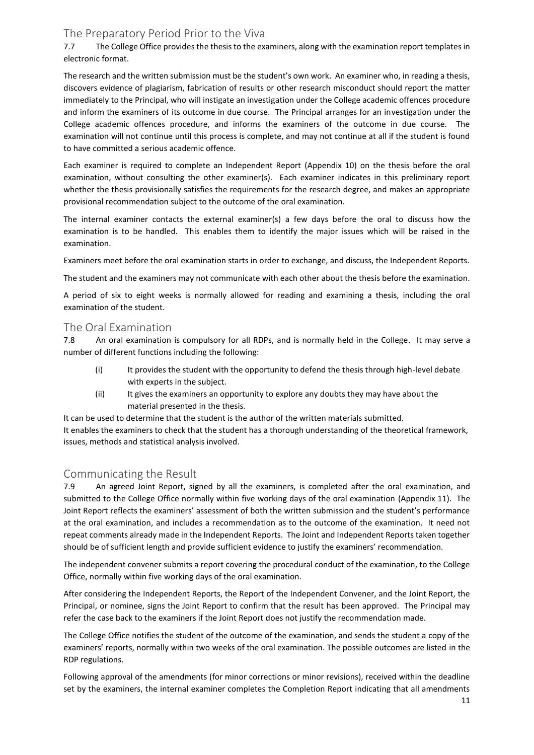## <span id="page-10-0"></span>The Preparatory Period Prior to the Viva

7.7 The College Office provides the thesis to the examiners, along with the examination report templates in electronic format.

The research and the written submission must be the student's own work. An examiner who, in reading a thesis, discovers evidence of plagiarism, fabrication of results or other research misconduct should report the matter immediately to the Principal, who will instigate an investigation under the College academic offences procedure and inform the examiners of its outcome in due course. The Principal arranges for an investigation under the College academic offences procedure, and informs the examiners of the outcome in due course. The examination will not continue until this process is complete, and may not continue at all if the student is found to have committed a serious academic offence.

Each examiner is required to complete an Independent Report (Appendix 10) on the thesis before the oral examination, without consulting the other examiner(s). Each examiner indicates in this preliminary report whether the thesis provisionally satisfies the requirements for the research degree, and makes an appropriate provisional recommendation subject to the outcome of the oral examination.

The internal examiner contacts the external examiner(s) a few days before the oral to discuss how the examination is to be handled. This enables them to identify the major issues which will be raised in the examination.

Examiners meet before the oral examination starts in order to exchange, and discuss, the Independent Reports.

The student and the examiners may not communicate with each other about the thesis before the examination.

A period of six to eight weeks is normally allowed for reading and examining a thesis, including the oral examination of the student.

### <span id="page-10-1"></span>The Oral Examination

7.8 An oral examination is compulsory for all RDPs, and is normally held in the College. It may serve a number of different functions including the following:

- (i) It provides the student with the opportunity to defend the thesis through high-level debate with experts in the subject.
- (ii) It gives the examiners an opportunity to explore any doubts they may have about the material presented in the thesis.

It can be used to determine that the student is the author of the written materials submitted. It enables the examiners to check that the student has a thorough understanding of the theoretical framework, issues, methods and statistical analysis involved.

### <span id="page-10-2"></span>Communicating the Result

7.9 An agreed Joint Report, signed by all the examiners, is completed after the oral examination, and submitted to the College Office normally within five working days of the oral examination (Appendix 11). The Joint Report reflects the examiners' assessment of both the written submission and the student's performance at the oral examination, and includes a recommendation as to the outcome of the examination. It need not repeat comments already made in the Independent Reports. The Joint and Independent Reports taken together should be of sufficient length and provide sufficient evidence to justify the examiners' recommendation.

The independent convener submits a report covering the procedural conduct of the examination, to the College Office, normally within five working days of the oral examination.

After considering the Independent Reports, the Report of the Independent Convener, and the Joint Report, the Principal, or nominee, signs the Joint Report to confirm that the result has been approved. The Principal may refer the case back to the examiners if the Joint Report does not justify the recommendation made.

The College Office notifies the student of the outcome of the examination, and sends the student a copy of the examiners' reports, normally within two weeks of the oral examination. The possible outcomes are listed in the RDP regulations.

Following approval of the amendments (for minor corrections or minor revisions), received within the deadline set by the examiners, the internal examiner completes the Completion Report indicating that all amendments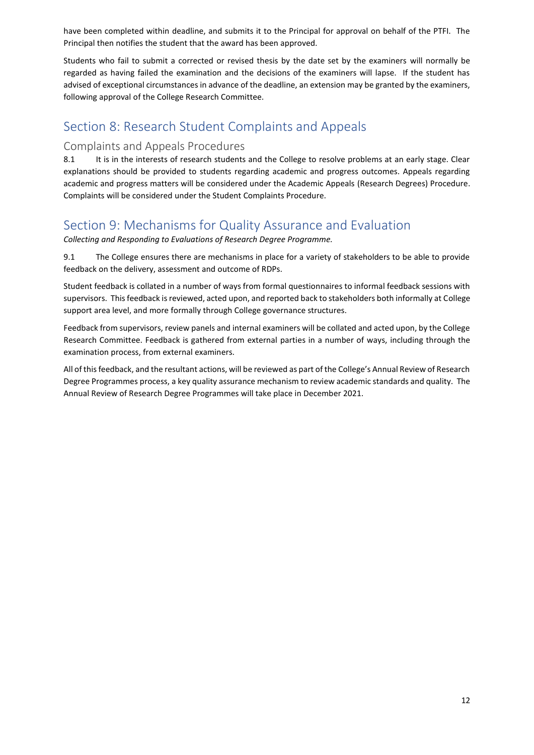have been completed within deadline, and submits it to the Principal for approval on behalf of the PTFI. The Principal then notifies the student that the award has been approved.

Students who fail to submit a corrected or revised thesis by the date set by the examiners will normally be regarded as having failed the examination and the decisions of the examiners will lapse. If the student has advised of exceptional circumstances in advance of the deadline, an extension may be granted by the examiners, following approval of the College Research Committee.

## <span id="page-11-0"></span>Section 8: Research Student Complaints and Appeals

## <span id="page-11-1"></span>Complaints and Appeals Procedures

8.1 It is in the interests of research students and the College to resolve problems at an early stage. Clear explanations should be provided to students regarding academic and progress outcomes. Appeals regarding academic and progress matters will be considered under the Academic Appeals (Research Degrees) Procedure. Complaints will be considered under the Student Complaints Procedure.

## <span id="page-11-2"></span>Section 9: Mechanisms for Quality Assurance and Evaluation

<span id="page-11-3"></span>*Collecting and Responding to Evaluations of Research Degree Programme.*

9.1 The College ensures there are mechanisms in place for a variety of stakeholders to be able to provide feedback on the delivery, assessment and outcome of RDPs.

Student feedback is collated in a number of ways from formal questionnaires to informal feedback sessions with supervisors. This feedback is reviewed, acted upon, and reported back to stakeholders both informally at College support area level, and more formally through College governance structures.

Feedback from supervisors, review panels and internal examiners will be collated and acted upon, by the College Research Committee. Feedback is gathered from external parties in a number of ways, including through the examination process, from external examiners.

All of this feedback, and the resultant actions, will be reviewed as part of the College's Annual Review of Research Degree Programmes process, a key quality assurance mechanism to review academic standards and quality. The Annual Review of Research Degree Programmes will take place in December 2021.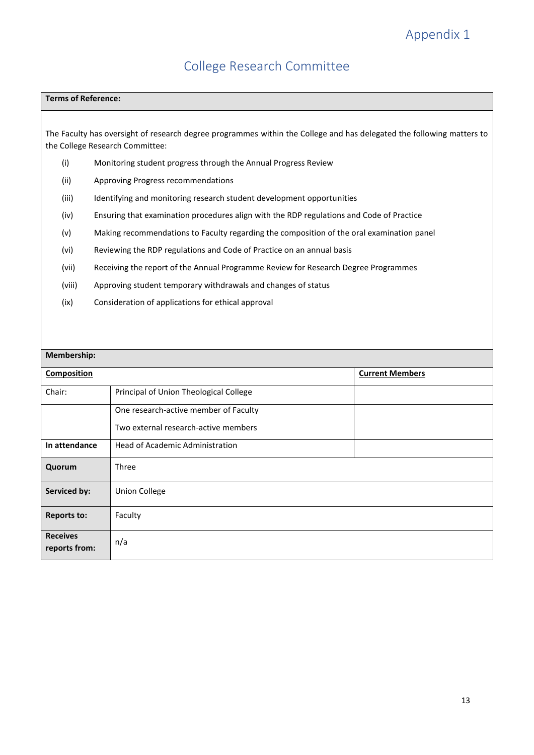## College Research Committee

#### <span id="page-12-1"></span><span id="page-12-0"></span>**Terms of Reference:**

The Faculty has oversight of research degree programmes within the College and has delegated the following matters to the College Research Committee:

- (i) Monitoring student progress through the Annual Progress Review
- (ii) Approving Progress recommendations
- (iii) Identifying and monitoring research student development opportunities
- (iv) Ensuring that examination procedures align with the RDP regulations and Code of Practice
- (v) Making recommendations to Faculty regarding the composition of the oral examination panel
- (vi) Reviewing the RDP regulations and Code of Practice on an annual basis
- (vii) Receiving the report of the Annual Programme Review for Research Degree Programmes
- (viii) Approving student temporary withdrawals and changes of status
- (ix) Consideration of applications for ethical approval

| Membership:                      |                                        |                        |  |
|----------------------------------|----------------------------------------|------------------------|--|
| <b>Composition</b>               |                                        | <b>Current Members</b> |  |
| Chair:                           | Principal of Union Theological College |                        |  |
|                                  | One research-active member of Faculty  |                        |  |
|                                  | Two external research-active members   |                        |  |
| In attendance                    | <b>Head of Academic Administration</b> |                        |  |
| Quorum                           | Three                                  |                        |  |
| Serviced by:                     | <b>Union College</b>                   |                        |  |
| <b>Reports to:</b>               | Faculty                                |                        |  |
| <b>Receives</b><br>reports from: | n/a                                    |                        |  |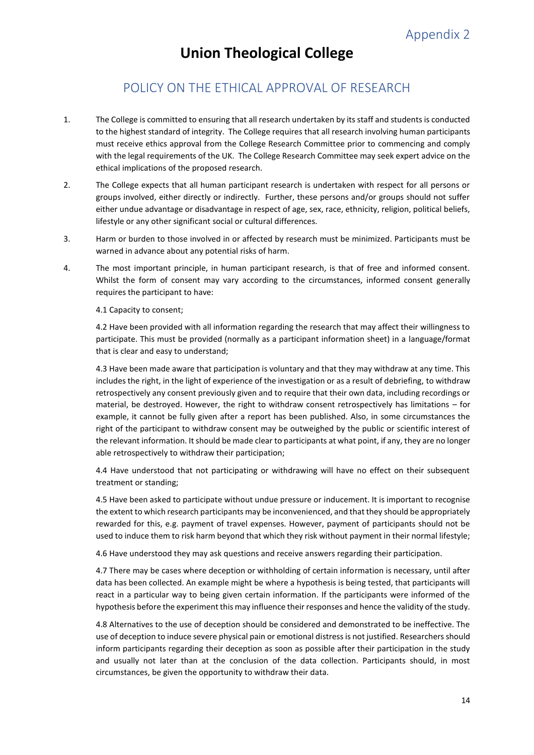## <span id="page-13-0"></span>POLICY ON THE ETHICAL APPROVAL OF RESEARCH

- <span id="page-13-1"></span>1. The College is committed to ensuring that all research undertaken by its staff and students is conducted to the highest standard of integrity. The College requires that all research involving human participants must receive ethics approval from the College Research Committee prior to commencing and comply with the legal requirements of the UK. The College Research Committee may seek expert advice on the ethical implications of the proposed research.
- 2. The College expects that all human participant research is undertaken with respect for all persons or groups involved, either directly or indirectly. Further, these persons and/or groups should not suffer either undue advantage or disadvantage in respect of age, sex, race, ethnicity, religion, political beliefs, lifestyle or any other significant social or cultural differences.
- 3. Harm or burden to those involved in or affected by research must be minimized. Participants must be warned in advance about any potential risks of harm.
- 4. The most important principle, in human participant research, is that of free and informed consent. Whilst the form of consent may vary according to the circumstances, informed consent generally requires the participant to have:

4.1 Capacity to consent;

4.2 Have been provided with all information regarding the research that may affect their willingness to participate. This must be provided (normally as a participant information sheet) in a language/format that is clear and easy to understand;

4.3 Have been made aware that participation is voluntary and that they may withdraw at any time. This includes the right, in the light of experience of the investigation or as a result of debriefing, to withdraw retrospectively any consent previously given and to require that their own data, including recordings or material, be destroyed. However, the right to withdraw consent retrospectively has limitations – for example, it cannot be fully given after a report has been published. Also, in some circumstances the right of the participant to withdraw consent may be outweighed by the public or scientific interest of the relevant information. It should be made clear to participants at what point, if any, they are no longer able retrospectively to withdraw their participation;

4.4 Have understood that not participating or withdrawing will have no effect on their subsequent treatment or standing;

4.5 Have been asked to participate without undue pressure or inducement. It is important to recognise the extent to which research participants may be inconvenienced, and that they should be appropriately rewarded for this, e.g. payment of travel expenses. However, payment of participants should not be used to induce them to risk harm beyond that which they risk without payment in their normal lifestyle;

4.6 Have understood they may ask questions and receive answers regarding their participation.

4.7 There may be cases where deception or withholding of certain information is necessary, until after data has been collected. An example might be where a hypothesis is being tested, that participants will react in a particular way to being given certain information. If the participants were informed of the hypothesis before the experiment this may influence their responses and hence the validity of the study.

4.8 Alternatives to the use of deception should be considered and demonstrated to be ineffective. The use of deception to induce severe physical pain or emotional distress is not justified. Researchers should inform participants regarding their deception as soon as possible after their participation in the study and usually not later than at the conclusion of the data collection. Participants should, in most circumstances, be given the opportunity to withdraw their data.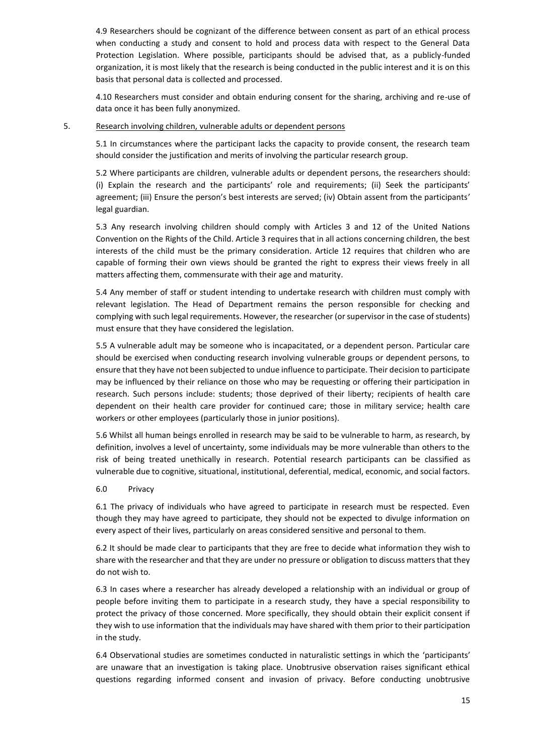4.9 Researchers should be cognizant of the difference between consent as part of an ethical process when conducting a study and consent to hold and process data with respect to the General Data Protection Legislation. Where possible, participants should be advised that, as a publicly-funded organization, it is most likely that the research is being conducted in the public interest and it is on this basis that personal data is collected and processed.

4.10 Researchers must consider and obtain enduring consent for the sharing, archiving and re-use of data once it has been fully anonymized.

### 5. Research involving children, vulnerable adults or dependent persons

5.1 In circumstances where the participant lacks the capacity to provide consent, the research team should consider the justification and merits of involving the particular research group.

5.2 Where participants are children, vulnerable adults or dependent persons, the researchers should: (i) Explain the research and the participants' role and requirements; (ii) Seek the participants' agreement; (iii) Ensure the person's best interests are served; (iv) Obtain assent from the participants' legal guardian.

5.3 Any research involving children should comply with Articles 3 and 12 of the United Nations Convention on the Rights of the Child. Article 3 requires that in all actions concerning children, the best interests of the child must be the primary consideration. Article 12 requires that children who are capable of forming their own views should be granted the right to express their views freely in all matters affecting them, commensurate with their age and maturity.

5.4 Any member of staff or student intending to undertake research with children must comply with relevant legislation. The Head of Department remains the person responsible for checking and complying with such legal requirements. However, the researcher (or supervisor in the case of students) must ensure that they have considered the legislation.

5.5 A vulnerable adult may be someone who is incapacitated, or a dependent person. Particular care should be exercised when conducting research involving vulnerable groups or dependent persons, to ensure that they have not been subjected to undue influence to participate. Their decision to participate may be influenced by their reliance on those who may be requesting or offering their participation in research. Such persons include: students; those deprived of their liberty; recipients of health care dependent on their health care provider for continued care; those in military service; health care workers or other employees (particularly those in junior positions).

5.6 Whilst all human beings enrolled in research may be said to be vulnerable to harm, as research, by definition, involves a level of uncertainty, some individuals may be more vulnerable than others to the risk of being treated unethically in research. Potential research participants can be classified as vulnerable due to cognitive, situational, institutional, deferential, medical, economic, and social factors.

### 6.0 Privacy

6.1 The privacy of individuals who have agreed to participate in research must be respected. Even though they may have agreed to participate, they should not be expected to divulge information on every aspect of their lives, particularly on areas considered sensitive and personal to them.

6.2 It should be made clear to participants that they are free to decide what information they wish to share with the researcher and that they are under no pressure or obligation to discuss matters that they do not wish to.

6.3 In cases where a researcher has already developed a relationship with an individual or group of people before inviting them to participate in a research study, they have a special responsibility to protect the privacy of those concerned. More specifically, they should obtain their explicit consent if they wish to use information that the individuals may have shared with them prior to their participation in the study.

6.4 Observational studies are sometimes conducted in naturalistic settings in which the 'participants' are unaware that an investigation is taking place. Unobtrusive observation raises significant ethical questions regarding informed consent and invasion of privacy. Before conducting unobtrusive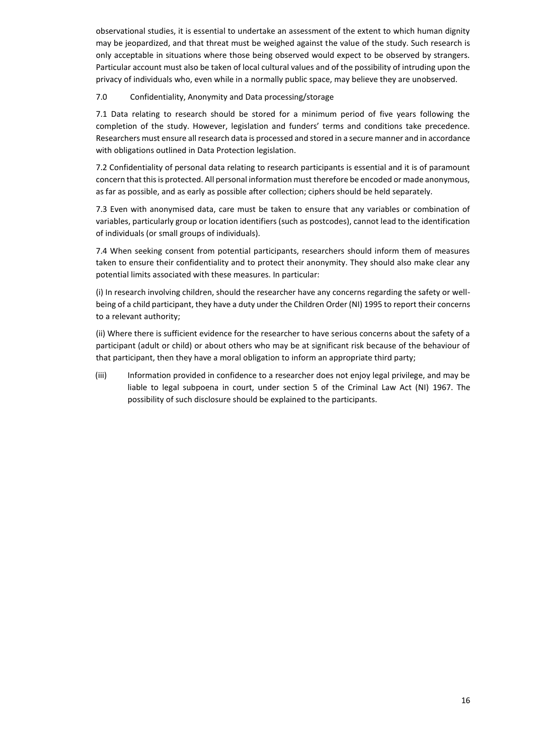observational studies, it is essential to undertake an assessment of the extent to which human dignity may be jeopardized, and that threat must be weighed against the value of the study. Such research is only acceptable in situations where those being observed would expect to be observed by strangers. Particular account must also be taken of local cultural values and of the possibility of intruding upon the privacy of individuals who, even while in a normally public space, may believe they are unobserved.

### 7.0 Confidentiality, Anonymity and Data processing/storage

7.1 Data relating to research should be stored for a minimum period of five years following the completion of the study. However, legislation and funders' terms and conditions take precedence. Researchers must ensure all research data is processed and stored in a secure manner and in accordance with obligations outlined in Data Protection legislation.

7.2 Confidentiality of personal data relating to research participants is essential and it is of paramount concern that this is protected. All personal information must therefore be encoded or made anonymous, as far as possible, and as early as possible after collection; ciphers should be held separately.

7.3 Even with anonymised data, care must be taken to ensure that any variables or combination of variables, particularly group or location identifiers (such as postcodes), cannot lead to the identification of individuals (or small groups of individuals).

7.4 When seeking consent from potential participants, researchers should inform them of measures taken to ensure their confidentiality and to protect their anonymity. They should also make clear any potential limits associated with these measures. In particular:

(i) In research involving children, should the researcher have any concerns regarding the safety or wellbeing of a child participant, they have a duty under the Children Order (NI) 1995 to report their concerns to a relevant authority;

(ii) Where there is sufficient evidence for the researcher to have serious concerns about the safety of a participant (adult or child) or about others who may be at significant risk because of the behaviour of that participant, then they have a moral obligation to inform an appropriate third party;

(iii) Information provided in confidence to a researcher does not enjoy legal privilege, and may be liable to legal subpoena in court, under section 5 of the Criminal Law Act (NI) 1967. The possibility of such disclosure should be explained to the participants.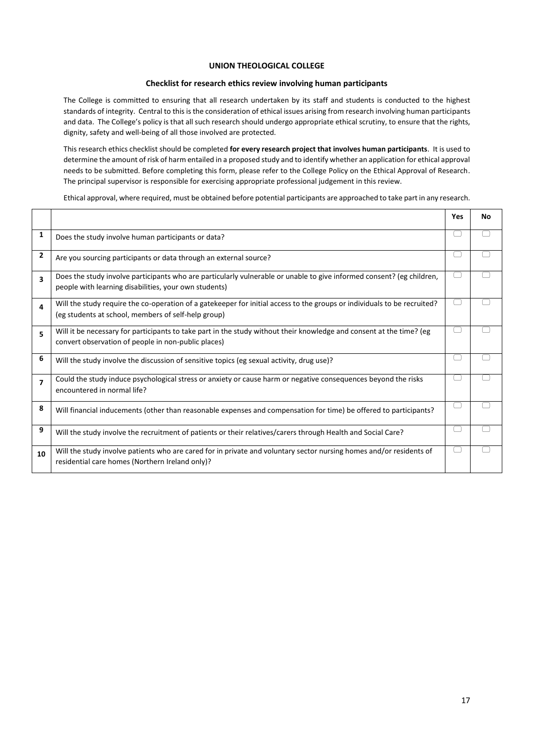#### **UNION THEOLOGICAL COLLEGE**

#### **Checklist for research ethics review involving human participants**

The College is committed to ensuring that all research undertaken by its staff and students is conducted to the highest standards of integrity. Central to this is the consideration of ethical issues arising from research involving human participants and data. The College's policy is that all such research should undergo appropriate ethical scrutiny, to ensure that the rights, dignity, safety and well-being of all those involved are protected.

This research ethics checklist should be completed **for every research project that involves human participants**. It is used to determine the amount of risk of harm entailed in a proposed study and to identify whether an application for ethical approval needs to be submitted. Before completing this form, please refer to the College Policy on the Ethical Approval of Research. The principal supervisor is responsible for exercising appropriate professional judgement in this review.

Ethical approval, where required, must be obtained before potential participants are approached to take part in any research.

|                |                                                                                                                                                                                 | <b>Yes</b> | Νo |
|----------------|---------------------------------------------------------------------------------------------------------------------------------------------------------------------------------|------------|----|
| 1              | Does the study involve human participants or data?                                                                                                                              |            |    |
| $\overline{2}$ | Are you sourcing participants or data through an external source?                                                                                                               |            |    |
| 3              | Does the study involve participants who are particularly vulnerable or unable to give informed consent? (eg children,<br>people with learning disabilities, your own students)  |            |    |
| 4              | Will the study require the co-operation of a gatekeeper for initial access to the groups or individuals to be recruited?<br>(eg students at school, members of self-help group) |            |    |
| 5              | Will it be necessary for participants to take part in the study without their knowledge and consent at the time? (eg<br>convert observation of people in non-public places)     |            |    |
| 6              | Will the study involve the discussion of sensitive topics (eg sexual activity, drug use)?                                                                                       |            |    |
| $\overline{ }$ | Could the study induce psychological stress or anxiety or cause harm or negative consequences beyond the risks<br>encountered in normal life?                                   |            |    |
| 8              | Will financial inducements (other than reasonable expenses and compensation for time) be offered to participants?                                                               |            |    |
| 9              | Will the study involve the recruitment of patients or their relatives/carers through Health and Social Care?                                                                    |            |    |
| 10             | Will the study involve patients who are cared for in private and voluntary sector nursing homes and/or residents of<br>residential care homes (Northern Ireland only)?          |            |    |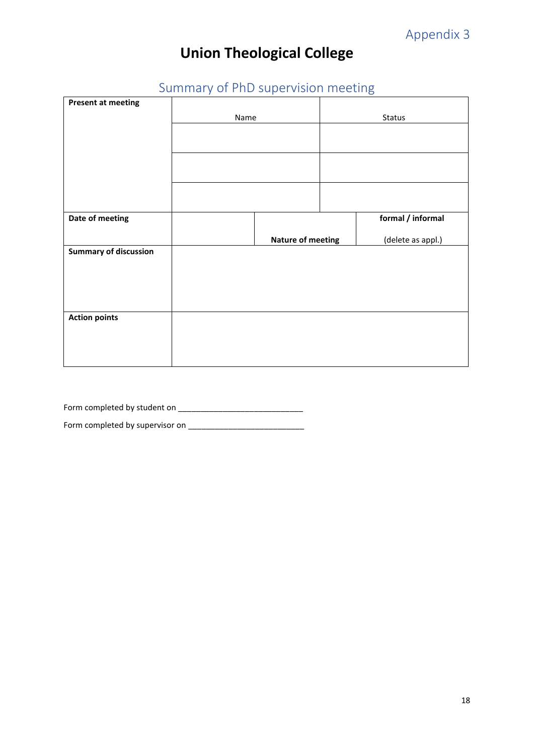# <span id="page-17-0"></span>Summary of PhD supervision meeting

<span id="page-17-1"></span>

| <b>Present at meeting</b>    |      |                          |                   |
|------------------------------|------|--------------------------|-------------------|
|                              |      |                          |                   |
|                              | Name |                          | <b>Status</b>     |
|                              |      |                          |                   |
|                              |      |                          |                   |
|                              |      |                          |                   |
|                              |      |                          |                   |
|                              |      |                          |                   |
| Date of meeting              |      |                          | formal / informal |
|                              |      | <b>Nature of meeting</b> | (delete as appl.) |
| <b>Summary of discussion</b> |      |                          |                   |
|                              |      |                          |                   |
|                              |      |                          |                   |
| <b>Action points</b>         |      |                          |                   |
|                              |      |                          |                   |
|                              |      |                          |                   |

Form completed by student on \_\_\_\_\_\_\_\_\_\_\_\_\_\_\_\_\_\_\_\_\_\_\_\_\_\_\_\_

Form completed by supervisor on \_\_\_\_\_\_\_\_\_\_\_\_\_\_\_\_\_\_\_\_\_\_\_\_\_\_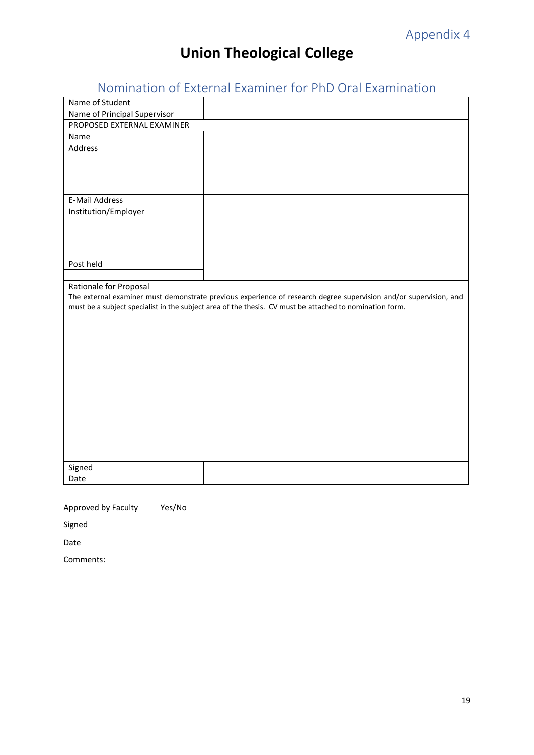# <span id="page-18-0"></span>Nomination of External Examiner for PhD Oral Examination

<span id="page-18-1"></span>

| Name of Student              |                                                                                                                   |
|------------------------------|-------------------------------------------------------------------------------------------------------------------|
| Name of Principal Supervisor |                                                                                                                   |
| PROPOSED EXTERNAL EXAMINER   |                                                                                                                   |
| Name                         |                                                                                                                   |
| Address                      |                                                                                                                   |
|                              |                                                                                                                   |
|                              |                                                                                                                   |
|                              |                                                                                                                   |
| E-Mail Address               |                                                                                                                   |
| Institution/Employer         |                                                                                                                   |
|                              |                                                                                                                   |
|                              |                                                                                                                   |
|                              |                                                                                                                   |
| Post held                    |                                                                                                                   |
|                              |                                                                                                                   |
|                              |                                                                                                                   |
|                              |                                                                                                                   |
| Rationale for Proposal       | The external examiner must demonstrate previous experience of research degree supervision and/or supervision, and |
|                              | must be a subject specialist in the subject area of the thesis. CV must be attached to nomination form.           |
|                              |                                                                                                                   |
|                              |                                                                                                                   |
|                              |                                                                                                                   |
|                              |                                                                                                                   |
|                              |                                                                                                                   |
|                              |                                                                                                                   |
|                              |                                                                                                                   |
|                              |                                                                                                                   |
|                              |                                                                                                                   |
|                              |                                                                                                                   |
|                              |                                                                                                                   |
|                              |                                                                                                                   |
|                              |                                                                                                                   |
| Signed<br>Date               |                                                                                                                   |

Approved by Faculty Yes/No

Signed

Date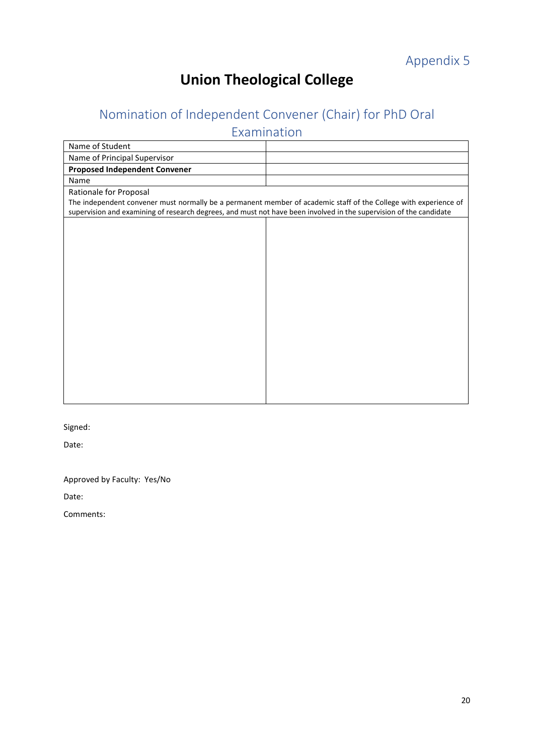# <span id="page-19-1"></span><span id="page-19-0"></span>Nomination of Independent Convener (Chair) for PhD Oral

Examination

| Name of Student                                                                                                    |                                                                                                                  |
|--------------------------------------------------------------------------------------------------------------------|------------------------------------------------------------------------------------------------------------------|
| Name of Principal Supervisor                                                                                       |                                                                                                                  |
| <b>Proposed Independent Convener</b>                                                                               |                                                                                                                  |
| Name                                                                                                               |                                                                                                                  |
| Rationale for Proposal                                                                                             |                                                                                                                  |
|                                                                                                                    | The independent convener must normally be a permanent member of academic staff of the College with experience of |
| supervision and examining of research degrees, and must not have been involved in the supervision of the candidate |                                                                                                                  |
|                                                                                                                    |                                                                                                                  |
|                                                                                                                    |                                                                                                                  |
|                                                                                                                    |                                                                                                                  |
|                                                                                                                    |                                                                                                                  |
|                                                                                                                    |                                                                                                                  |
|                                                                                                                    |                                                                                                                  |
|                                                                                                                    |                                                                                                                  |
|                                                                                                                    |                                                                                                                  |
|                                                                                                                    |                                                                                                                  |
|                                                                                                                    |                                                                                                                  |
|                                                                                                                    |                                                                                                                  |
|                                                                                                                    |                                                                                                                  |
|                                                                                                                    |                                                                                                                  |
|                                                                                                                    |                                                                                                                  |
|                                                                                                                    |                                                                                                                  |
|                                                                                                                    |                                                                                                                  |
|                                                                                                                    |                                                                                                                  |

Signed:

Date:

Approved by Faculty: Yes/No

Date: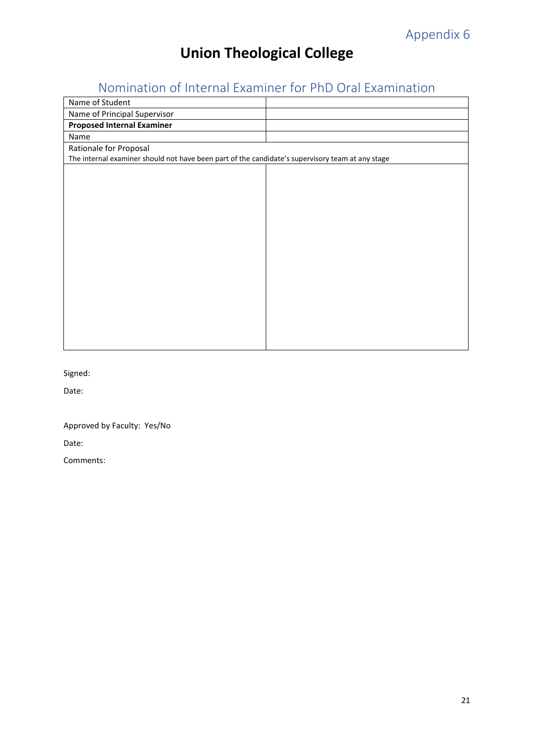# <span id="page-20-0"></span>Nomination of Internal Examiner for PhD Oral Examination

<span id="page-20-1"></span>

| Name of Student                                                                                  |  |
|--------------------------------------------------------------------------------------------------|--|
| Name of Principal Supervisor                                                                     |  |
| <b>Proposed Internal Examiner</b>                                                                |  |
| Name                                                                                             |  |
| Rationale for Proposal                                                                           |  |
| The internal examiner should not have been part of the candidate's supervisory team at any stage |  |
|                                                                                                  |  |
|                                                                                                  |  |
|                                                                                                  |  |
|                                                                                                  |  |
|                                                                                                  |  |
|                                                                                                  |  |
|                                                                                                  |  |
|                                                                                                  |  |
|                                                                                                  |  |
|                                                                                                  |  |
|                                                                                                  |  |
|                                                                                                  |  |
|                                                                                                  |  |
|                                                                                                  |  |
|                                                                                                  |  |
|                                                                                                  |  |

Signed:

Date:

Approved by Faculty: Yes/No

Date: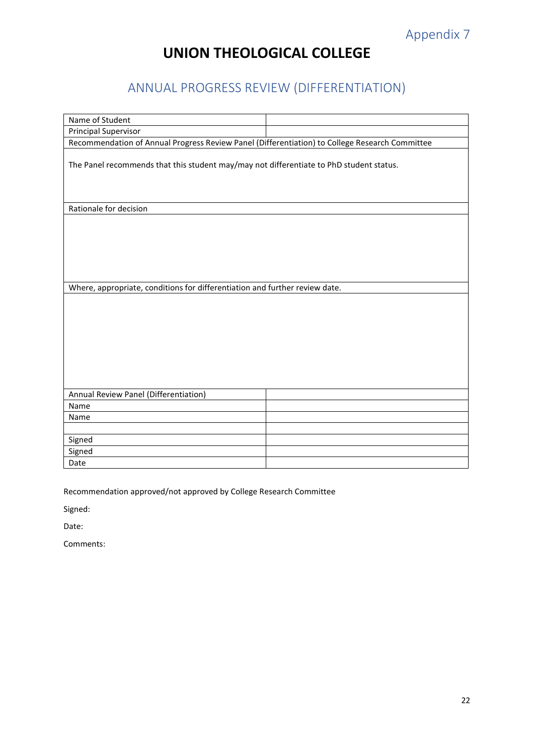# **UNION THEOLOGICAL COLLEGE**

# <span id="page-21-0"></span>ANNUAL PROGRESS REVIEW (DIFFERENTIATION)

<span id="page-21-1"></span>

| Name of Student                                                                                |  |  |  |
|------------------------------------------------------------------------------------------------|--|--|--|
| <b>Principal Supervisor</b>                                                                    |  |  |  |
| Recommendation of Annual Progress Review Panel (Differentiation) to College Research Committee |  |  |  |
| The Panel recommends that this student may/may not differentiate to PhD student status.        |  |  |  |
| Rationale for decision                                                                         |  |  |  |
|                                                                                                |  |  |  |
| Where, appropriate, conditions for differentiation and further review date.                    |  |  |  |
|                                                                                                |  |  |  |
| Annual Review Panel (Differentiation)                                                          |  |  |  |
| Name                                                                                           |  |  |  |
| Name                                                                                           |  |  |  |
|                                                                                                |  |  |  |
| Signed                                                                                         |  |  |  |
| Signed                                                                                         |  |  |  |
| Date                                                                                           |  |  |  |

Recommendation approved/not approved by College Research Committee

Signed:

Date: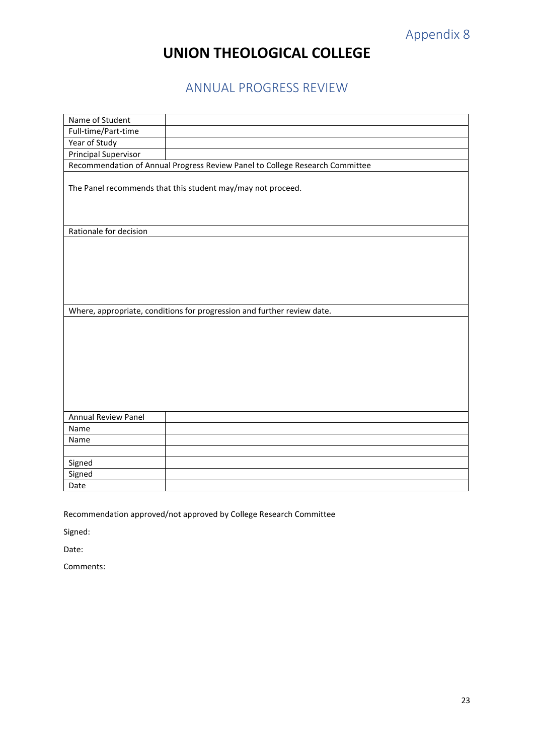# **UNION THEOLOGICAL COLLEGE**

## ANNUAL PROGRESS REVIEW

<span id="page-22-1"></span><span id="page-22-0"></span>

| Name of Student            |                                                                              |
|----------------------------|------------------------------------------------------------------------------|
| Full-time/Part-time        |                                                                              |
| Year of Study              |                                                                              |
| Principal Supervisor       |                                                                              |
|                            | Recommendation of Annual Progress Review Panel to College Research Committee |
|                            | The Panel recommends that this student may/may not proceed.                  |
| Rationale for decision     |                                                                              |
|                            |                                                                              |
|                            |                                                                              |
|                            |                                                                              |
|                            |                                                                              |
|                            |                                                                              |
|                            |                                                                              |
|                            | Where, appropriate, conditions for progression and further review date.      |
|                            |                                                                              |
|                            |                                                                              |
|                            |                                                                              |
|                            |                                                                              |
|                            |                                                                              |
|                            |                                                                              |
|                            |                                                                              |
|                            |                                                                              |
|                            |                                                                              |
| <b>Annual Review Panel</b> |                                                                              |
| Name                       |                                                                              |
| Name                       |                                                                              |
|                            |                                                                              |
| Signed                     |                                                                              |
| Signed                     |                                                                              |
| Date                       |                                                                              |

Recommendation approved/not approved by College Research Committee

Signed:

Date: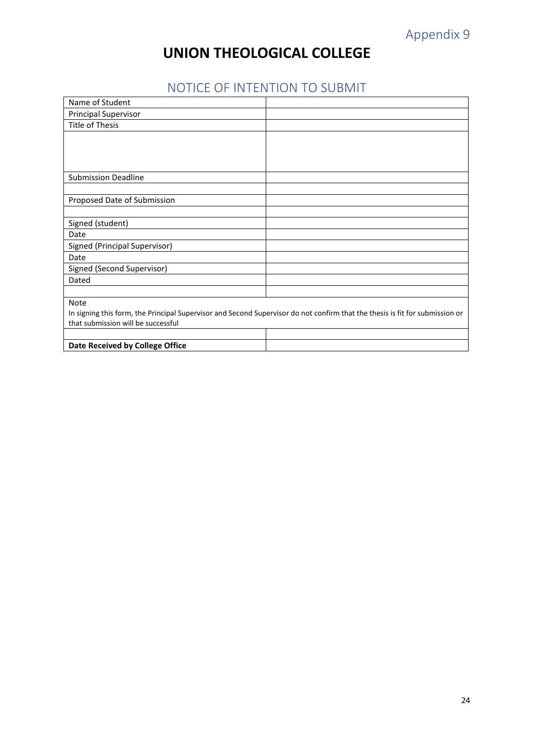# Appendix 9

# **UNION THEOLOGICAL COLLEGE**

# NOTICE OF INTENTION TO SUBMIT

<span id="page-23-1"></span><span id="page-23-0"></span>

| Name of Student                                                                                                              |  |  |
|------------------------------------------------------------------------------------------------------------------------------|--|--|
| <b>Principal Supervisor</b>                                                                                                  |  |  |
| <b>Title of Thesis</b>                                                                                                       |  |  |
|                                                                                                                              |  |  |
|                                                                                                                              |  |  |
|                                                                                                                              |  |  |
|                                                                                                                              |  |  |
| <b>Submission Deadline</b>                                                                                                   |  |  |
|                                                                                                                              |  |  |
| Proposed Date of Submission                                                                                                  |  |  |
|                                                                                                                              |  |  |
| Signed (student)                                                                                                             |  |  |
| Date                                                                                                                         |  |  |
| Signed (Principal Supervisor)                                                                                                |  |  |
| Date                                                                                                                         |  |  |
| Signed (Second Supervisor)                                                                                                   |  |  |
| Dated                                                                                                                        |  |  |
|                                                                                                                              |  |  |
| <b>Note</b>                                                                                                                  |  |  |
| In signing this form, the Principal Supervisor and Second Supervisor do not confirm that the thesis is fit for submission or |  |  |
| that submission will be successful                                                                                           |  |  |
|                                                                                                                              |  |  |
| Date Received by College Office                                                                                              |  |  |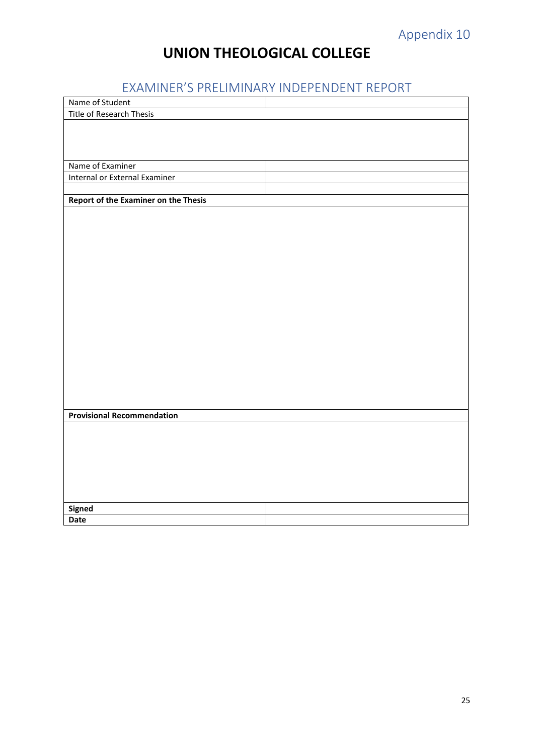# Appendix 10

# **UNION THEOLOGICAL COLLEGE**

# EXAMINER'S PRELIMINARY INDEPENDENT REPORT

<span id="page-24-1"></span><span id="page-24-0"></span>

| Name of Student                             |  |
|---------------------------------------------|--|
| Title of Research Thesis                    |  |
|                                             |  |
|                                             |  |
|                                             |  |
| Name of Examiner                            |  |
| Internal or External Examiner               |  |
|                                             |  |
| <b>Report of the Examiner on the Thesis</b> |  |
|                                             |  |
|                                             |  |
|                                             |  |
|                                             |  |
|                                             |  |
|                                             |  |
|                                             |  |
|                                             |  |
|                                             |  |
|                                             |  |
|                                             |  |
|                                             |  |
|                                             |  |
|                                             |  |
|                                             |  |
|                                             |  |
|                                             |  |
| <b>Provisional Recommendation</b>           |  |
|                                             |  |
|                                             |  |
|                                             |  |
|                                             |  |
|                                             |  |
|                                             |  |
|                                             |  |
| Signed                                      |  |
| <b>Date</b>                                 |  |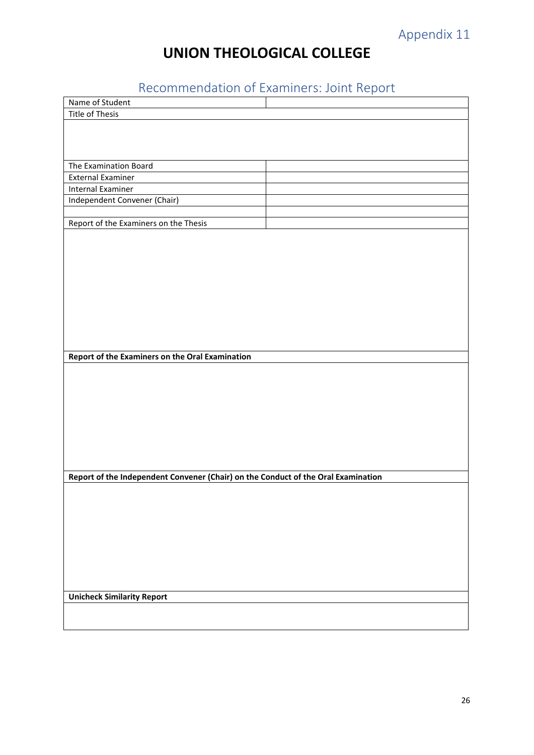# Appendix 11

# **UNION THEOLOGICAL COLLEGE**

# Recommendation of Examiners: Joint Report

<span id="page-25-1"></span><span id="page-25-0"></span>

| Name of Student                                                                   |  |  |  |
|-----------------------------------------------------------------------------------|--|--|--|
| Title of Thesis                                                                   |  |  |  |
|                                                                                   |  |  |  |
|                                                                                   |  |  |  |
|                                                                                   |  |  |  |
|                                                                                   |  |  |  |
| The Examination Board                                                             |  |  |  |
| <b>External Examiner</b>                                                          |  |  |  |
| Internal Examiner                                                                 |  |  |  |
| Independent Convener (Chair)                                                      |  |  |  |
|                                                                                   |  |  |  |
| Report of the Examiners on the Thesis                                             |  |  |  |
|                                                                                   |  |  |  |
|                                                                                   |  |  |  |
|                                                                                   |  |  |  |
|                                                                                   |  |  |  |
|                                                                                   |  |  |  |
|                                                                                   |  |  |  |
|                                                                                   |  |  |  |
|                                                                                   |  |  |  |
|                                                                                   |  |  |  |
|                                                                                   |  |  |  |
|                                                                                   |  |  |  |
| Report of the Examiners on the Oral Examination                                   |  |  |  |
|                                                                                   |  |  |  |
|                                                                                   |  |  |  |
|                                                                                   |  |  |  |
|                                                                                   |  |  |  |
|                                                                                   |  |  |  |
|                                                                                   |  |  |  |
|                                                                                   |  |  |  |
|                                                                                   |  |  |  |
|                                                                                   |  |  |  |
|                                                                                   |  |  |  |
| Report of the Independent Convener (Chair) on the Conduct of the Oral Examination |  |  |  |
|                                                                                   |  |  |  |
|                                                                                   |  |  |  |
|                                                                                   |  |  |  |
|                                                                                   |  |  |  |
|                                                                                   |  |  |  |
|                                                                                   |  |  |  |
|                                                                                   |  |  |  |
|                                                                                   |  |  |  |
|                                                                                   |  |  |  |
|                                                                                   |  |  |  |
| <b>Unicheck Similarity Report</b>                                                 |  |  |  |
|                                                                                   |  |  |  |
|                                                                                   |  |  |  |
|                                                                                   |  |  |  |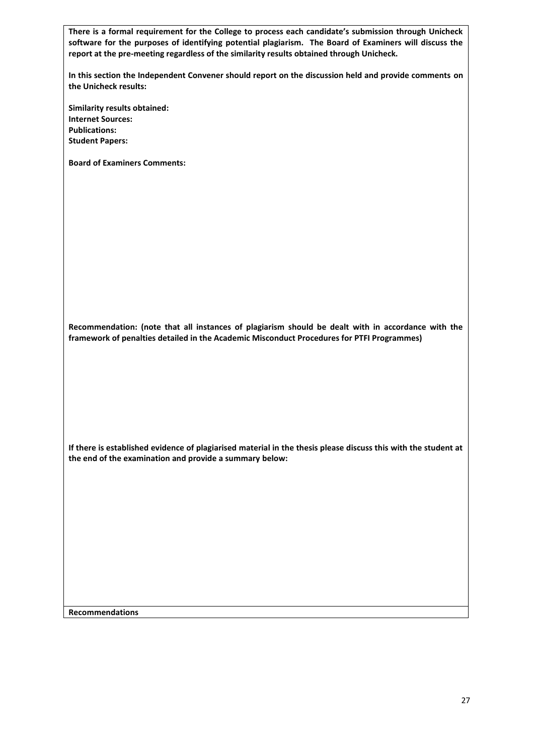**There is a formal requirement for the College to process each candidate's submission through Unicheck software for the purposes of identifying potential plagiarism. The Board of Examiners will discuss the report at the pre-meeting regardless of the similarity results obtained through Unicheck.** 

**In this section the Independent Convener should report on the discussion held and provide comments on the Unicheck results:**

**Similarity results obtained: Internet Sources: Publications: Student Papers:**

**Board of Examiners Comments:**

**Recommendation: (note that all instances of plagiarism should be dealt with in accordance with the framework of penalties detailed in the Academic Misconduct Procedures for PTFI Programmes)**

**If there is established evidence of plagiarised material in the thesis please discuss this with the student at the end of the examination and provide a summary below:**

**Recommendations**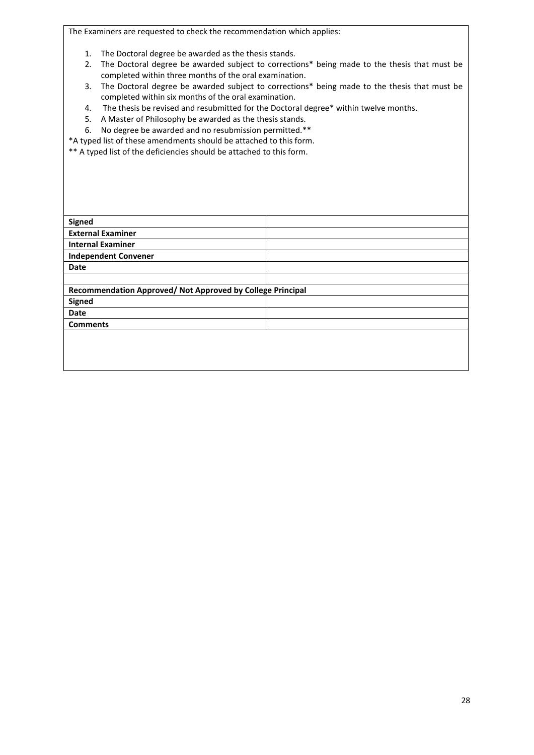The Examiners are requested to check the recommendation which applies:

- 1. The Doctoral degree be awarded as the thesis stands.
- 2. The Doctoral degree be awarded subject to corrections\* being made to the thesis that must be completed within three months of the oral examination.
- 3. The Doctoral degree be awarded subject to corrections\* being made to the thesis that must be completed within six months of the oral examination.
- 4. The thesis be revised and resubmitted for the Doctoral degree\* within twelve months.
- 5. A Master of Philosophy be awarded as the thesis stands.
- 6. No degree be awarded and no resubmission permitted.\*\*

\*A typed list of these amendments should be attached to this form.

\*\* A typed list of the deficiencies should be attached to this form.

| <b>Signed</b>                                              |  |  |
|------------------------------------------------------------|--|--|
| <b>External Examiner</b>                                   |  |  |
| <b>Internal Examiner</b>                                   |  |  |
| <b>Independent Convener</b>                                |  |  |
| <b>Date</b>                                                |  |  |
|                                                            |  |  |
| Recommendation Approved/ Not Approved by College Principal |  |  |
| <b>Signed</b>                                              |  |  |
| <b>Date</b>                                                |  |  |
| <b>Comments</b>                                            |  |  |
|                                                            |  |  |
|                                                            |  |  |
|                                                            |  |  |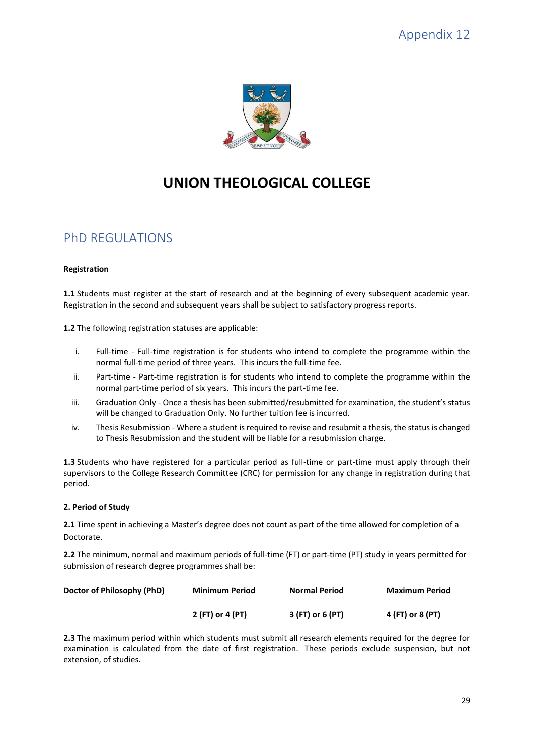<span id="page-28-0"></span>

# **UNION THEOLOGICAL COLLEGE**

## <span id="page-28-1"></span>PhD REGULATIONS

### **Registration**

**1.1** Students must register at the start of research and at the beginning of every subsequent academic year. Registration in the second and subsequent years shall be subject to satisfactory progress reports.

**1.2** The following registration statuses are applicable:

- i. Full-time Full-time registration is for students who intend to complete the programme within the normal full-time period of three years. This incurs the full-time fee.
- ii. Part-time Part-time registration is for students who intend to complete the programme within the normal part-time period of six years. This incurs the part-time fee.
- iii. Graduation Only Once a thesis has been submitted/resubmitted for examination, the student's status will be changed to Graduation Only. No further tuition fee is incurred.
- iv. Thesis Resubmission Where a student is required to revise and resubmit a thesis, the status is changed to Thesis Resubmission and the student will be liable for a resubmission charge.

**1.3** Students who have registered for a particular period as full-time or part-time must apply through their supervisors to the College Research Committee (CRC) for permission for any change in registration during that period.

### **2. Period of Study**

**2.1** Time spent in achieving a Master's degree does not count as part of the time allowed for completion of a Doctorate.

**2.2** The minimum, normal and maximum periods of full-time (FT) or part-time (PT) study in years permitted for submission of research degree programmes shall be:

| Doctor of Philosophy (PhD) | <b>Minimum Period</b> | <b>Normal Period</b> | <b>Maximum Period</b> |
|----------------------------|-----------------------|----------------------|-----------------------|
|                            | 2 (FT) or 4 (PT)      | 3 (FT) or 6 (PT)     | 4 (FT) or 8 (PT)      |

**2.3** The maximum period within which students must submit all research elements required for the degree for examination is calculated from the date of first registration. These periods exclude suspension, but not extension, of studies.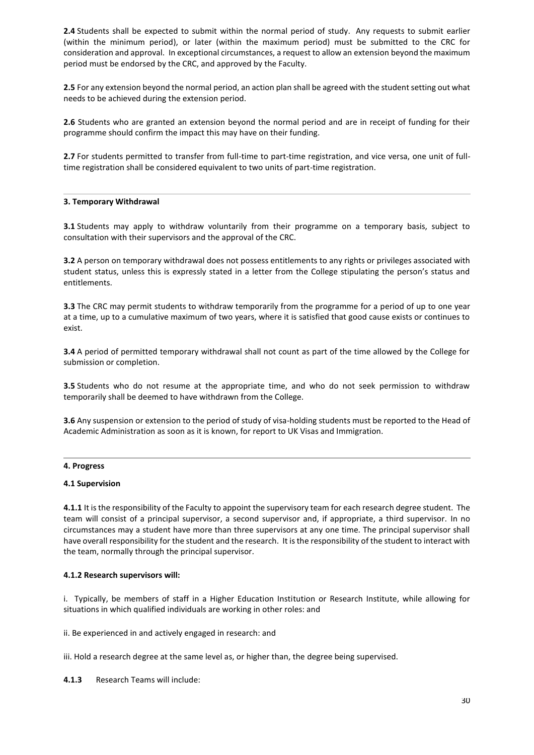**2.4** Students shall be expected to submit within the normal period of study. Any requests to submit earlier (within the minimum period), or later (within the maximum period) must be submitted to the CRC for consideration and approval. In exceptional circumstances, a request to allow an extension beyond the maximum period must be endorsed by the CRC, and approved by the Faculty.

**2.5** For any extension beyond the normal period, an action plan shall be agreed with the student setting out what needs to be achieved during the extension period.

**2.6** Students who are granted an extension beyond the normal period and are in receipt of funding for their programme should confirm the impact this may have on their funding.

**2.7** For students permitted to transfer from full-time to part-time registration, and vice versa, one unit of fulltime registration shall be considered equivalent to two units of part-time registration.

#### **3. Temporary Withdrawal**

**3.1** Students may apply to withdraw voluntarily from their programme on a temporary basis, subject to consultation with their supervisors and the approval of the CRC.

**3.2** A person on temporary withdrawal does not possess entitlements to any rights or privileges associated with student status, unless this is expressly stated in a letter from the College stipulating the person's status and entitlements.

**3.3** The CRC may permit students to withdraw temporarily from the programme for a period of up to one year at a time, up to a cumulative maximum of two years, where it is satisfied that good cause exists or continues to exist.

**3.4** A period of permitted temporary withdrawal shall not count as part of the time allowed by the College for submission or completion.

**3.5** Students who do not resume at the appropriate time, and who do not seek permission to withdraw temporarily shall be deemed to have withdrawn from the College.

**3.6** Any suspension or extension to the period of study of visa-holding students must be reported to the Head of Academic Administration as soon as it is known, for report to UK Visas and Immigration.

#### **4. Progress**

#### **4.1 Supervision**

**4.1.1** It is the responsibility of the Faculty to appoint the supervisory team for each research degree student. The team will consist of a principal supervisor, a second supervisor and, if appropriate, a third supervisor. In no circumstances may a student have more than three supervisors at any one time. The principal supervisor shall have overall responsibility for the student and the research. It is the responsibility of the student to interact with the team, normally through the principal supervisor.

#### **4.1.2 Research supervisors will:**

i. Typically, be members of staff in a Higher Education Institution or Research Institute, while allowing for situations in which qualified individuals are working in other roles: and

ii. Be experienced in and actively engaged in research: and

iii. Hold a research degree at the same level as, or higher than, the degree being supervised.

**4.1.3** Research Teams will include: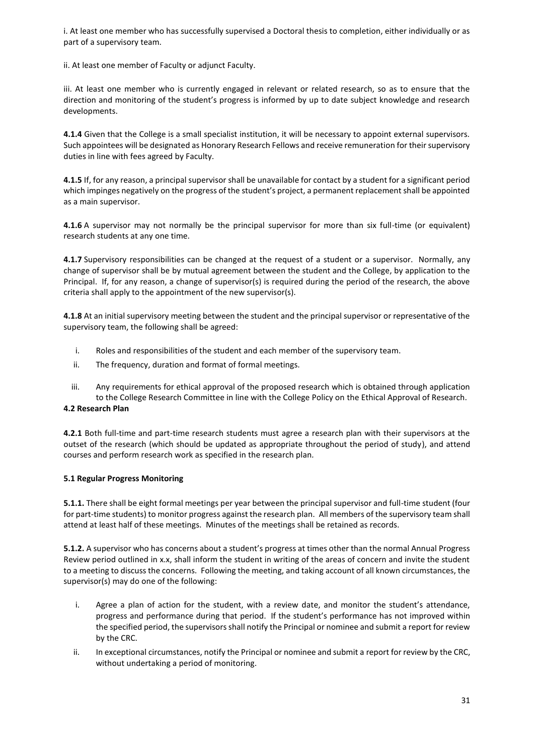i. At least one member who has successfully supervised a Doctoral thesis to completion, either individually or as part of a supervisory team.

ii. At least one member of Faculty or adjunct Faculty.

iii. At least one member who is currently engaged in relevant or related research, so as to ensure that the direction and monitoring of the student's progress is informed by up to date subject knowledge and research developments.

**4.1.4** Given that the College is a small specialist institution, it will be necessary to appoint external supervisors. Such appointees will be designated as Honorary Research Fellows and receive remuneration for their supervisory duties in line with fees agreed by Faculty.

**4.1.5** If, for any reason, a principal supervisor shall be unavailable for contact by a student for a significant period which impinges negatively on the progress of the student's project, a permanent replacement shall be appointed as a main supervisor.

**4.1.6** A supervisor may not normally be the principal supervisor for more than six full-time (or equivalent) research students at any one time.

**4.1.7** Supervisory responsibilities can be changed at the request of a student or a supervisor. Normally, any change of supervisor shall be by mutual agreement between the student and the College, by application to the Principal. If, for any reason, a change of supervisor(s) is required during the period of the research, the above criteria shall apply to the appointment of the new supervisor(s).

**4.1.8** At an initial supervisory meeting between the student and the principal supervisor or representative of the supervisory team, the following shall be agreed:

- i. Roles and responsibilities of the student and each member of the supervisory team.
- ii. The frequency, duration and format of formal meetings.
- iii. Any requirements for ethical approval of the proposed research which is obtained through application to the College Research Committee in line with the College Policy on the Ethical Approval of Research.

### **4.2 Research Plan**

**4.2.1** Both full-time and part-time research students must agree a research plan with their supervisors at the outset of the research (which should be updated as appropriate throughout the period of study), and attend courses and perform research work as specified in the research plan*.*

### **5.1 Regular Progress Monitoring**

**5.1.1.** There shall be eight formal meetings per year between the principal supervisor and full-time student (four for part-time students) to monitor progress against the research plan. All members of the supervisory team shall attend at least half of these meetings. Minutes of the meetings shall be retained as records.

**5.1.2.** A supervisor who has concerns about a student's progress at times other than the normal Annual Progress Review period outlined in x.x, shall inform the student in writing of the areas of concern and invite the student to a meeting to discuss the concerns. Following the meeting, and taking account of all known circumstances, the supervisor(s) may do one of the following:

- i. Agree a plan of action for the student, with a review date, and monitor the student's attendance, progress and performance during that period. If the student's performance has not improved within the specified period, the supervisors shall notify the Principal or nominee and submit a report for review by the CRC.
- ii. In exceptional circumstances, notify the Principal or nominee and submit a report for review by the CRC, without undertaking a period of monitoring.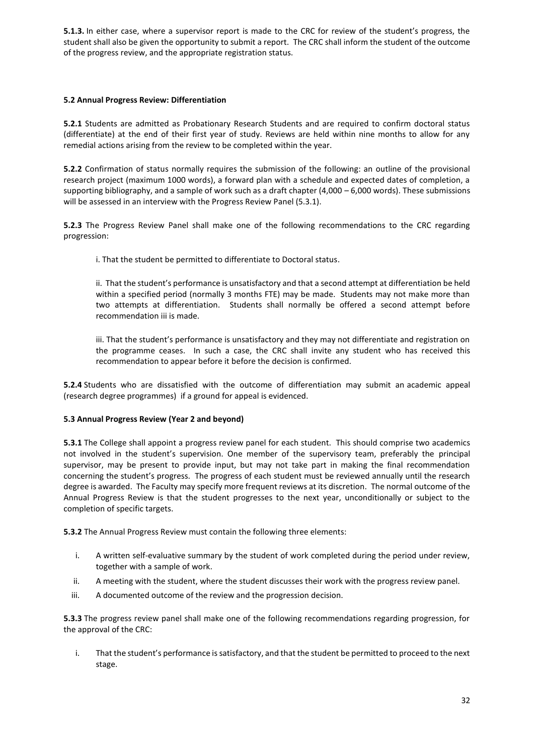**5.1.3.** In either case, where a supervisor report is made to the CRC for review of the student's progress, the student shall also be given the opportunity to submit a report. The CRC shall inform the student of the outcome of the progress review, and the appropriate registration status.

### **5.2 Annual Progress Review: Differentiation**

**5.2.1** Students are admitted as Probationary Research Students and are required to confirm doctoral status (differentiate) at the end of their first year of study. Reviews are held within nine months to allow for any remedial actions arising from the review to be completed within the year.

**5.2.2** Confirmation of status normally requires the submission of the following: an outline of the provisional research project (maximum 1000 words), a forward plan with a schedule and expected dates of completion, a supporting bibliography, and a sample of work such as a draft chapter  $(4,000 - 6,000$  words). These submissions will be assessed in an interview with the Progress Review Panel (5.3.1).

**5.2.3** The Progress Review Panel shall make one of the following recommendations to the CRC regarding progression:

i. That the student be permitted to differentiate to Doctoral status.

ii. That the student's performance is unsatisfactory and that a second attempt at differentiation be held within a specified period (normally 3 months FTE) may be made. Students may not make more than two attempts at differentiation. Students shall normally be offered a second attempt before recommendation iii is made.

iii. That the student's performance is unsatisfactory and they may not differentiate and registration on the programme ceases. In such a case, the CRC shall invite any student who has received this recommendation to appear before it before the decision is confirmed.

**5.2.4** Students who are dissatisfied with the outcome of differentiation may submit an academic appeal (research degree programmes) if a ground for appeal is evidenced.

### **5.3 Annual Progress Review (Year 2 and beyond)**

**5.3.1** The College shall appoint a progress review panel for each student. This should comprise two academics not involved in the student's supervision. One member of the supervisory team, preferably the principal supervisor, may be present to provide input, but may not take part in making the final recommendation concerning the student's progress. The progress of each student must be reviewed annually until the research degree is awarded. The Faculty may specify more frequent reviews at its discretion. The normal outcome of the Annual Progress Review is that the student progresses to the next year, unconditionally or subject to the completion of specific targets.

**5.3.2** The Annual Progress Review must contain the following three elements:

- i. A written self-evaluative summary by the student of work completed during the period under review, together with a sample of work.
- ii. A meeting with the student, where the student discusses their work with the progress review panel.
- iii. A documented outcome of the review and the progression decision.

**5.3.3** The progress review panel shall make one of the following recommendations regarding progression, for the approval of the CRC:

i. That the student's performance is satisfactory, and that the student be permitted to proceed to the next stage.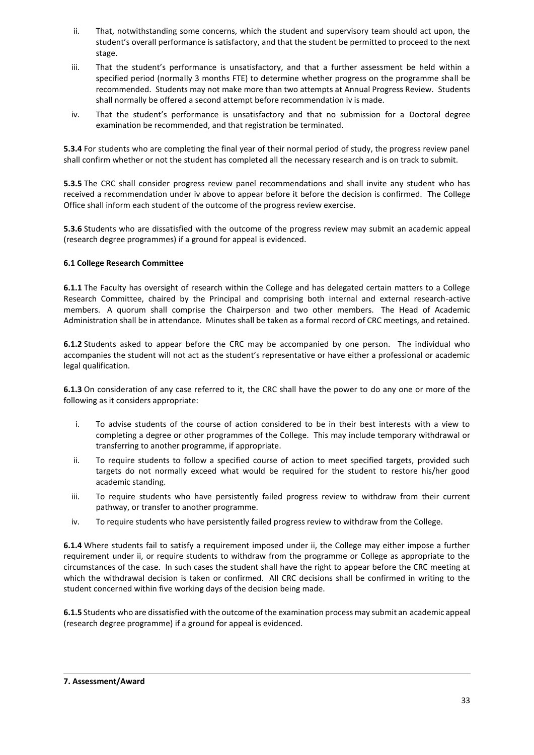- ii. That, notwithstanding some concerns, which the student and supervisory team should act upon, the student's overall performance is satisfactory, and that the student be permitted to proceed to the next stage.
- iii. That the student's performance is unsatisfactory, and that a further assessment be held within a specified period (normally 3 months FTE) to determine whether progress on the programme shall be recommended. Students may not make more than two attempts at Annual Progress Review. Students shall normally be offered a second attempt before recommendation iv is made.
- iv. That the student's performance is unsatisfactory and that no submission for a Doctoral degree examination be recommended, and that registration be terminated.

**5.3.4** For students who are completing the final year of their normal period of study, the progress review panel shall confirm whether or not the student has completed all the necessary research and is on track to submit.

**5.3.5** The CRC shall consider progress review panel recommendations and shall invite any student who has received a recommendation under iv above to appear before it before the decision is confirmed. The College Office shall inform each student of the outcome of the progress review exercise.

**5.3.6** Students who are dissatisfied with the outcome of the progress review may submit an academic appeal (research degree programmes) if a ground for appeal is evidenced.

### **6.1 College Research Committee**

**6.1.1** The Faculty has oversight of research within the College and has delegated certain matters to a College Research Committee, chaired by the Principal and comprising both internal and external research-active members. A quorum shall comprise the Chairperson and two other members. The Head of Academic Administration shall be in attendance. Minutes shall be taken as a formal record of CRC meetings, and retained.

**6.1.2** Students asked to appear before the CRC may be accompanied by one person. The individual who accompanies the student will not act as the student's representative or have either a professional or academic legal qualification.

**6.1.3** On consideration of any case referred to it, the CRC shall have the power to do any one or more of the following as it considers appropriate:

- i. To advise students of the course of action considered to be in their best interests with a view to completing a degree or other programmes of the College. This may include temporary withdrawal or transferring to another programme, if appropriate.
- ii. To require students to follow a specified course of action to meet specified targets, provided such targets do not normally exceed what would be required for the student to restore his/her good academic standing.
- iii. To require students who have persistently failed progress review to withdraw from their current pathway, or transfer to another programme.
- iv. To require students who have persistently failed progress review to withdraw from the College.

**6.1.4** Where students fail to satisfy a requirement imposed under ii, the College may either impose a further requirement under ii, or require students to withdraw from the programme or College as appropriate to the circumstances of the case. In such cases the student shall have the right to appear before the CRC meeting at which the withdrawal decision is taken or confirmed. All CRC decisions shall be confirmed in writing to the student concerned within five working days of the decision being made.

**6.1.5** Students who are dissatisfied with the outcome of the examination process may submit an academic appeal (research degree programme) if a ground for appeal is evidenced.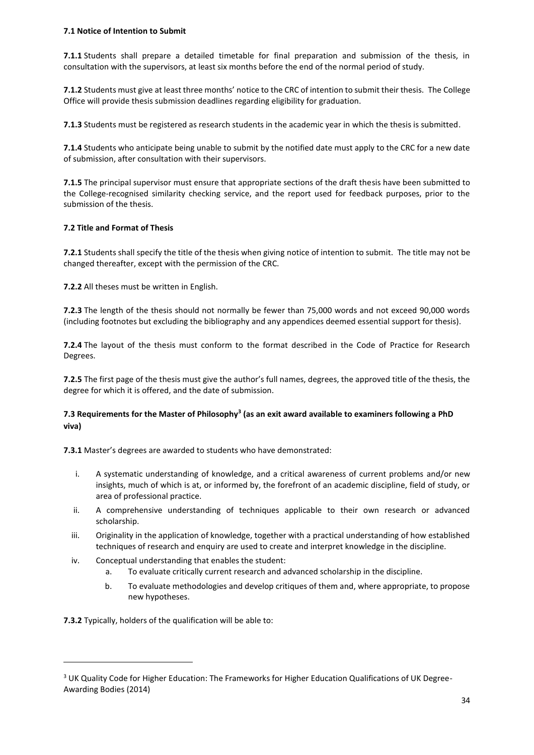### **7.1 Notice of Intention to Submit**

**7.1.1** Students shall prepare a detailed timetable for final preparation and submission of the thesis, in consultation with the supervisors, at least six months before the end of the normal period of study.

**7.1.2** Students must give at least three months' notice to the CRC of intention to submit their thesis. The College Office will provide thesis submission deadlines regarding eligibility for graduation.

**7.1.3** Students must be registered as research students in the academic year in which the thesis is submitted.

**7.1.4** Students who anticipate being unable to submit by the notified date must apply to the CRC for a new date of submission, after consultation with their supervisors.

**7.1.5** The principal supervisor must ensure that appropriate sections of the draft thesis have been submitted to the College-recognised similarity checking service, and the report used for feedback purposes, prior to the submission of the thesis.

### **7.2 Title and Format of Thesis**

**7.2.1** Students shall specify the title of the thesis when giving notice of intention to submit. The title may not be changed thereafter, except with the permission of the CRC.

**7.2.2** All theses must be written in English.

**7.2.3** The length of the thesis should not normally be fewer than 75,000 words and not exceed 90,000 words (including footnotes but excluding the bibliography and any appendices deemed essential support for thesis).

**7.2.4** The layout of the thesis must conform to the format described in the Code of Practice for Research Degrees.

**7.2.5** The first page of the thesis must give the author's full names, degrees, the approved title of the thesis, the degree for which it is offered, and the date of submission.

### **7.3 Requirements for the Master of Philosophy<sup>3</sup> (as an exit award available to examiners following a PhD viva)**

**7.3.1** Master's degrees are awarded to students who have demonstrated:

- i. A systematic understanding of knowledge, and a critical awareness of current problems and/or new insights, much of which is at, or informed by, the forefront of an academic discipline, field of study, or area of professional practice.
- ii. A comprehensive understanding of techniques applicable to their own research or advanced scholarship.
- iii. Originality in the application of knowledge, together with a practical understanding of how established techniques of research and enquiry are used to create and interpret knowledge in the discipline.
- iv. Conceptual understanding that enables the student:
	- a. To evaluate critically current research and advanced scholarship in the discipline.
	- b. To evaluate methodologies and develop critiques of them and, where appropriate, to propose new hypotheses.

**7.3.2** Typically, holders of the qualification will be able to:

 $\overline{a}$ 

<sup>&</sup>lt;sup>3</sup> UK Quality Code for Higher Education: The Frameworks for Higher Education Qualifications of UK Degree-Awarding Bodies (2014)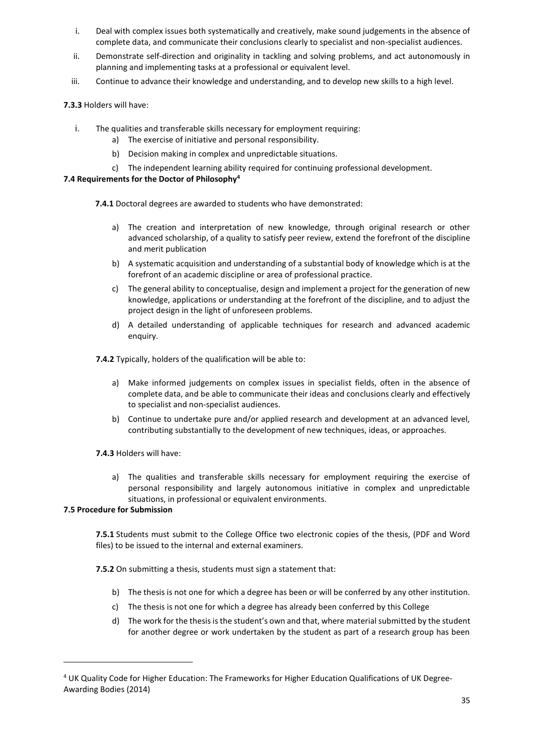- i. Deal with complex issues both systematically and creatively, make sound judgements in the absence of complete data, and communicate their conclusions clearly to specialist and non-specialist audiences.
- ii. Demonstrate self-direction and originality in tackling and solving problems, and act autonomously in planning and implementing tasks at a professional or equivalent level.
- iii. Continue to advance their knowledge and understanding, and to develop new skills to a high level.

### **7.3.3** Holders will have:

- i. The qualities and transferable skills necessary for employment requiring:
	- a) The exercise of initiative and personal responsibility.
	- b) Decision making in complex and unpredictable situations.
	- c) The independent learning ability required for continuing professional development.

### **7.4 Requirements for the Doctor of Philosophy<sup>4</sup>**

**7.4.1** Doctoral degrees are awarded to students who have demonstrated:

- a) The creation and interpretation of new knowledge, through original research or other advanced scholarship, of a quality to satisfy peer review, extend the forefront of the discipline and merit publication
- b) A systematic acquisition and understanding of a substantial body of knowledge which is at the forefront of an academic discipline or area of professional practice.
- c) The general ability to conceptualise, design and implement a project for the generation of new knowledge, applications or understanding at the forefront of the discipline, and to adjust the project design in the light of unforeseen problems.
- d) A detailed understanding of applicable techniques for research and advanced academic enquiry.

**7.4.2** Typically, holders of the qualification will be able to:

- a) Make informed judgements on complex issues in specialist fields, often in the absence of complete data, and be able to communicate their ideas and conclusions clearly and effectively to specialist and non-specialist audiences.
- b) Continue to undertake pure and/or applied research and development at an advanced level, contributing substantially to the development of new techniques, ideas, or approaches.

### **7.4.3** Holders will have:

a) The qualities and transferable skills necessary for employment requiring the exercise of personal responsibility and largely autonomous initiative in complex and unpredictable situations, in professional or equivalent environments.

### **7.5 Procedure for Submission**

 $\overline{a}$ 

**7.5.1** Students must submit to the College Office two electronic copies of the thesis, (PDF and Word files) to be issued to the internal and external examiners.

**7.5.2** On submitting a thesis, students must sign a statement that:

- b) The thesis is not one for which a degree has been or will be conferred by any other institution.
- c) The thesis is not one for which a degree has already been conferred by this College
- d) The work for the thesis is the student's own and that, where material submitted by the student for another degree or work undertaken by the student as part of a research group has been

<sup>4</sup> UK Quality Code for Higher Education: The Frameworks for Higher Education Qualifications of UK Degree-Awarding Bodies (2014)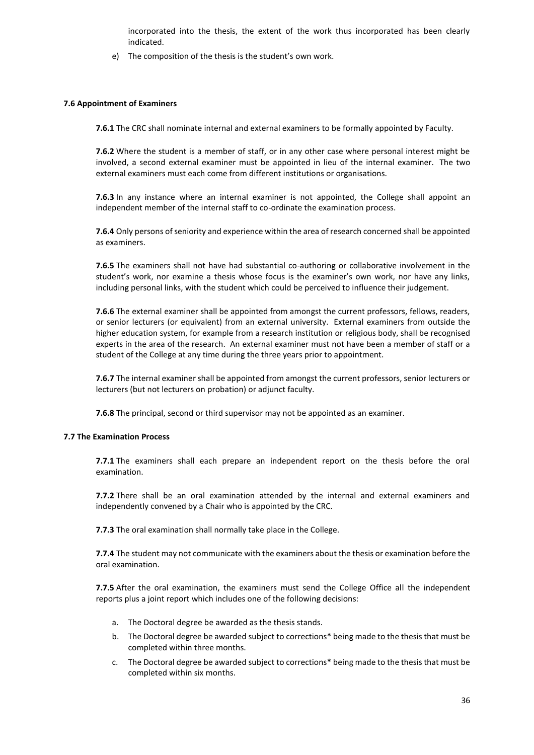incorporated into the thesis, the extent of the work thus incorporated has been clearly indicated.

e) The composition of the thesis is the student's own work.

#### **7.6 Appointment of Examiners**

**7.6.1** The CRC shall nominate internal and external examiners to be formally appointed by Faculty.

**7.6.2** Where the student is a member of staff, or in any other case where personal interest might be involved, a second external examiner must be appointed in lieu of the internal examiner. The two external examiners must each come from different institutions or organisations.

**7.6.3** In any instance where an internal examiner is not appointed, the College shall appoint an independent member of the internal staff to co-ordinate the examination process.

**7.6.4** Only persons of seniority and experience within the area of research concerned shall be appointed as examiners.

**7.6.5** The examiners shall not have had substantial co-authoring or collaborative involvement in the student's work, nor examine a thesis whose focus is the examiner's own work, nor have any links, including personal links, with the student which could be perceived to influence their judgement.

**7.6.6** The external examiner shall be appointed from amongst the current professors, fellows, readers, or senior lecturers (or equivalent) from an external university. External examiners from outside the higher education system, for example from a research institution or religious body, shall be recognised experts in the area of the research. An external examiner must not have been a member of staff or a student of the College at any time during the three years prior to appointment.

**7.6.7** The internal examiner shall be appointed from amongst the current professors, senior lecturers or lecturers (but not lecturers on probation) or adjunct faculty.

**7.6.8** The principal, second or third supervisor may not be appointed as an examiner.

### **7.7 The Examination Process**

**7.7.1** The examiners shall each prepare an independent report on the thesis before the oral examination.

**7.7.2** There shall be an oral examination attended by the internal and external examiners and independently convened by a Chair who is appointed by the CRC.

**7.7.3** The oral examination shall normally take place in the College.

**7.7.4** The student may not communicate with the examiners about the thesis or examination before the oral examination.

**7.7.5** After the oral examination, the examiners must send the College Office all the independent reports plus a joint report which includes one of the following decisions:

- a. The Doctoral degree be awarded as the thesis stands.
- b. The Doctoral degree be awarded subject to corrections\* being made to the thesis that must be completed within three months.
- c. The Doctoral degree be awarded subject to corrections\* being made to the thesis that must be completed within six months.